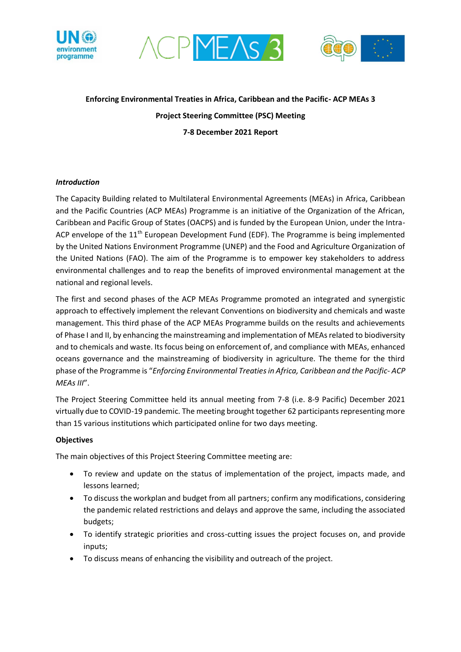





# **Enforcing Environmental Treaties in Africa, Caribbean and the Pacific- ACP MEAs 3 Project Steering Committee (PSC) Meeting 7-8 December 2021 Report**

### *Introduction*

The Capacity Building related to Multilateral Environmental Agreements (MEAs) in Africa, Caribbean and the Pacific Countries (ACP MEAs) Programme is an initiative of the Organization of the African, Caribbean and Pacific Group of States (OACPS) and is funded by the European Union, under the Intra-ACP envelope of the  $11<sup>th</sup>$  European Development Fund (EDF). The Programme is being implemented by the United Nations Environment Programme (UNEP) and the Food and Agriculture Organization of the United Nations (FAO). The aim of the Programme is to empower key stakeholders to address environmental challenges and to reap the benefits of improved environmental management at the national and regional levels.

The first and second phases of the ACP MEAs Programme promoted an integrated and synergistic approach to effectively implement the relevant Conventions on biodiversity and chemicals and waste management. This third phase of the ACP MEAs Programme builds on the results and achievements of Phase I and II, by enhancing the mainstreaming and implementation of MEAs related to biodiversity and to chemicals and waste. Its focus being on enforcement of, and compliance with MEAs, enhanced oceans governance and the mainstreaming of biodiversity in agriculture. The theme for the third phase of the Programme is "*Enforcing Environmental Treaties in Africa, Caribbean and the Pacific*- *ACP MEAs III*".

The Project Steering Committee held its annual meeting from 7-8 (i.e. 8-9 Pacific) December 2021 virtually due to COVID-19 pandemic. The meeting brought together 62 participants representing more than 15 various institutions which participated online for two days meeting.

### **Objectives**

The main objectives of this Project Steering Committee meeting are:

- To review and update on the status of implementation of the project, impacts made, and lessons learned;
- To discuss the workplan and budget from all partners; confirm any modifications, considering the pandemic related restrictions and delays and approve the same, including the associated budgets;
- To identify strategic priorities and cross-cutting issues the project focuses on, and provide inputs;
- To discuss means of enhancing the visibility and outreach of the project.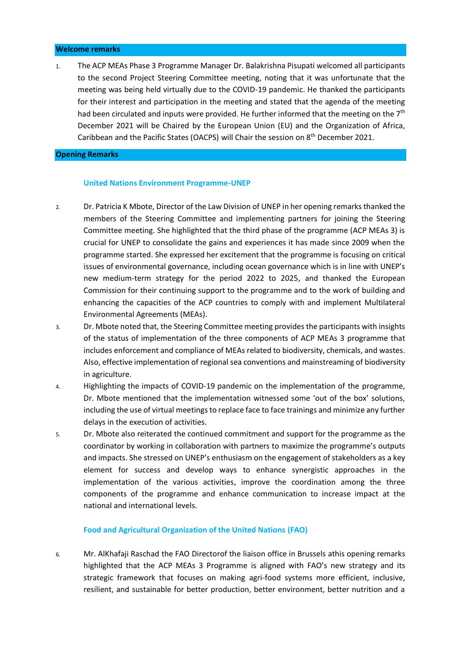#### **Welcome remarks**

1. The ACP MEAs Phase 3 Programme Manager Dr. Balakrishna Pisupati welcomed all participants to the second Project Steering Committee meeting, noting that it was unfortunate that the meeting was being held virtually due to the COVID-19 pandemic. He thanked the participants for their interest and participation in the meeting and stated that the agenda of the meeting had been circulated and inputs were provided. He further informed that the meeting on the  $7<sup>th</sup>$ December 2021 will be Chaired by the European Union (EU) and the Organization of Africa, Caribbean and the Pacific States (OACPS) will Chair the session on 8th December 2021.

#### **Opening Remarks**

#### **United Nations Environment Programme-UNEP**

- 2. Dr. Patricia K Mbote, Director of the Law Division of UNEP in her opening remarks thanked the members of the Steering Committee and implementing partners for joining the Steering Committee meeting. She highlighted that the third phase of the programme (ACP MEAs 3) is crucial for UNEP to consolidate the gains and experiences it has made since 2009 when the programme started. She expressed her excitement that the programme is focusing on critical issues of environmental governance, including ocean governance which is in line with UNEP's new medium-term strategy for the period 2022 to 2025, and thanked the European Commission for their continuing support to the programme and to the work of building and enhancing the capacities of the ACP countries to comply with and implement Multilateral Environmental Agreements (MEAs).
- 3. Dr. Mbote noted that, the Steering Committee meeting provides the participants with insights of the status of implementation of the three components of ACP MEAs 3 programme that includes enforcement and compliance of MEAs related to biodiversity, chemicals, and wastes. Also, effective implementation of regional sea conventions and mainstreaming of biodiversity in agriculture.
- 4. Highlighting the impacts of COVID-19 pandemic on the implementation of the programme, Dr. Mbote mentioned that the implementation witnessed some 'out of the box' solutions, including the use of virtual meetings to replace face to face trainings and minimize any further delays in the execution of activities.
- 5. Dr. Mbote also reiterated the continued commitment and support for the programme as the coordinator by working in collaboration with partners to maximize the programme's outputs and impacts. She stressed on UNEP's enthusiasm on the engagement of stakeholders as a key element for success and develop ways to enhance synergistic approaches in the implementation of the various activities, improve the coordination among the three components of the programme and enhance communication to increase impact at the national and international levels.

#### **Food and Agricultural Organization of the United Nations (FAO)**

6. Mr. AlKhafaji Raschad the FAO Directorof the liaison office in Brussels athis opening remarks highlighted that the ACP MEAs 3 Programme is aligned with FAO's new strategy and its strategic framework that focuses on making agri-food systems more efficient, inclusive, resilient, and sustainable for better production, better environment, better nutrition and a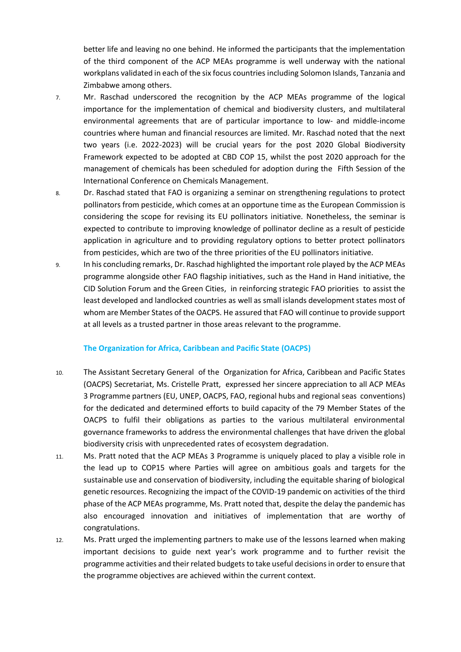better life and leaving no one behind. He informed the participants that the implementation of the third component of the ACP MEAs programme is well underway with the national workplans validated in each of the six focus countries including Solomon Islands, Tanzania and Zimbabwe among others.

- 7. Mr. Raschad underscored the recognition by the ACP MEAs programme of the logical importance for the implementation of chemical and biodiversity clusters, and multilateral environmental agreements that are of particular importance to low- and middle-income countries where human and financial resources are limited. Mr. Raschad noted that the next two years (i.e. 2022-2023) will be crucial years for the post 2020 Global Biodiversity Framework expected to be adopted at CBD COP 15, whilst the post 2020 approach for the management of chemicals has been scheduled for adoption during the Fifth Session of the International Conference on Chemicals Management.
- 8. Dr. Raschad stated that FAO is organizing a seminar on strengthening regulations to protect pollinators from pesticide, which comes at an opportune time as the European Commission is considering the scope for revising its EU pollinators initiative. Nonetheless, the seminar is expected to contribute to improving knowledge of pollinator decline as a result of pesticide application in agriculture and to providing regulatory options to better protect pollinators from pesticides, which are two of the three priorities of the EU pollinators initiative.
- 9. In his concluding remarks, Dr. Raschad highlighted the important role played by the ACP MEAs programme alongside other FAO flagship initiatives, such as the Hand in Hand initiative, the CID Solution Forum and the Green Cities, in reinforcing strategic FAO priorities to assist the least developed and landlocked countries as well as small islands development states most of whom are Member States of the OACPS. He assured that FAO will continue to provide support at all levels as a trusted partner in those areas relevant to the programme.

### **The Organization for Africa, Caribbean and Pacific State (OACPS)**

- 10. The Assistant Secretary General of the Organization for Africa, Caribbean and Pacific States (OACPS) Secretariat, Ms. Cristelle Pratt, expressed her sincere appreciation to all ACP MEAs 3 Programme partners (EU, UNEP, OACPS, FAO, regional hubs and regional seas conventions) for the dedicated and determined efforts to build capacity of the 79 Member States of the OACPS to fulfil their obligations as parties to the various multilateral environmental governance frameworks to address the environmental challenges that have driven the global biodiversity crisis with unprecedented rates of ecosystem degradation.
- 11. Ms. Pratt noted that the ACP MEAs 3 Programme is uniquely placed to play a visible role in the lead up to COP15 where Parties will agree on ambitious goals and targets for the sustainable use and conservation of biodiversity, including the equitable sharing of biological genetic resources. Recognizing the impact of the COVID-19 pandemic on activities of the third phase of the ACP MEAs programme, Ms. Pratt noted that, despite the delay the pandemic has also encouraged innovation and initiatives of implementation that are worthy of congratulations.
- 12. Ms. Pratt urged the implementing partners to make use of the lessons learned when making important decisions to guide next year's work programme and to further revisit the programme activities and their related budgets to take useful decisionsin order to ensure that the programme objectives are achieved within the current context.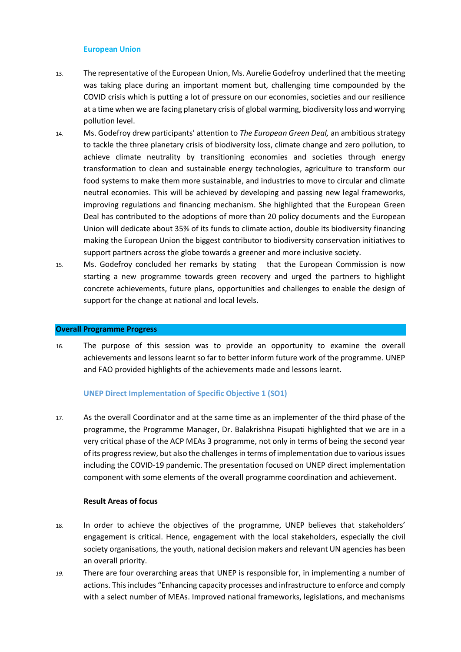#### **European Union**

- 13. The representative of the European Union, Ms. Aurelie Godefroy underlined that the meeting was taking place during an important moment but, challenging time compounded by the COVID crisis which is putting a lot of pressure on our economies, societies and our resilience at a time when we are facing planetary crisis of global warming, biodiversity loss and worrying pollution level.
- 14. Ms. Godefroy drew participants' attention to *The European Green Deal,* an ambitious strategy to tackle the three planetary crisis of biodiversity loss, climate change and zero pollution, to achieve climate neutrality by transitioning economies and societies through energy transformation to clean and sustainable energy technologies, agriculture to transform our food systems to make them more sustainable, and industries to move to circular and climate neutral economies. This will be achieved by developing and passing new legal frameworks, improving regulations and financing mechanism. She highlighted that the European Green Deal has contributed to the adoptions of more than 20 policy documents and the European Union will dedicate about 35% of its funds to climate action, double its biodiversity financing making the European Union the biggest contributor to biodiversity conservation initiatives to support partners across the globe towards a greener and more inclusive society.
- 15. Ms. Godefroy concluded her remarks by stating that the European Commission is now starting a new programme towards green recovery and urged the partners to highlight concrete achievements, future plans, opportunities and challenges to enable the design of support for the change at national and local levels.

#### **Overall Programme Progress**

16. The purpose of this session was to provide an opportunity to examine the overall achievements and lessons learnt so far to better inform future work of the programme. UNEP and FAO provided highlights of the achievements made and lessons learnt.

### **UNEP Direct Implementation of Specific Objective 1 (SO1)**

17. As the overall Coordinator and at the same time as an implementer of the third phase of the programme, the Programme Manager, Dr. Balakrishna Pisupati highlighted that we are in a very critical phase of the ACP MEAs 3 programme, not only in terms of being the second year of its progress review, but also the challenges in terms of implementation due to various issues including the COVID-19 pandemic. The presentation focused on UNEP direct implementation component with some elements of the overall programme coordination and achievement.

### **Result Areas of focus**

- 18. In order to achieve the objectives of the programme, UNEP believes that stakeholders' engagement is critical. Hence, engagement with the local stakeholders, especially the civil society organisations, the youth, national decision makers and relevant UN agencies has been an overall priority.
- *19.* There are four overarching areas that UNEP is responsible for, in implementing a number of actions. This includes "Enhancing capacity processes and infrastructure to enforce and comply with a select number of MEAs. Improved national frameworks, legislations, and mechanisms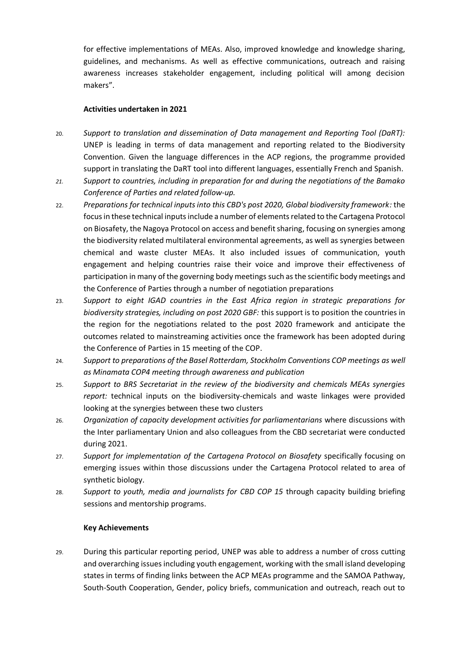for effective implementations of MEAs. Also, improved knowledge and knowledge sharing, guidelines, and mechanisms. As well as effective communications, outreach and raising awareness increases stakeholder engagement, including political will among decision makers".

### **Activities undertaken in 2021**

- 20. *Support to translation and dissemination of Data management and Reporting Tool (DaRT):* UNEP is leading in terms of data management and reporting related to the Biodiversity Convention. Given the language differences in the ACP regions, the programme provided support in translating the DaRT tool into different languages, essentially French and Spanish.
- *21. Support to countries, including in preparation for and during the negotiations of the Bamako Conference of Parties and related follow-up.*
- 22. *Preparations for technical inputs into this CBD's post 2020, Global biodiversity framework:* the focus in these technical inputs include a number of elements related to the Cartagena Protocol on Biosafety, the Nagoya Protocol on access and benefit sharing, focusing on synergies among the biodiversity related multilateral environmental agreements, as well as synergies between chemical and waste cluster MEAs. It also included issues of communication, youth engagement and helping countries raise their voice and improve their effectiveness of participation in many of the governing body meetings such as the scientific body meetings and the Conference of Parties through a number of negotiation preparations
- 23. *Support to eight IGAD countries in the East Africa region in strategic preparations for biodiversity strategies, including on post 2020 GBF:* this support is to position the countries in the region for the negotiations related to the post 2020 framework and anticipate the outcomes related to mainstreaming activities once the framework has been adopted during the Conference of Parties in 15 meeting of the COP.
- 24. *Support to preparations of the Basel Rotterdam, Stockholm Conventions COP meetings as well as Minamata COP4 meeting through awareness and publication*
- 25. *Support to BRS Secretariat in the review of the biodiversity and chemicals MEAs synergies report:* technical inputs on the biodiversity-chemicals and waste linkages were provided looking at the synergies between these two clusters
- 26. *Organization of capacity development activities for parliamentarians* where discussions with the Inter parliamentary Union and also colleagues from the CBD secretariat were conducted during 2021.
- 27. *Support for implementation of the Cartagena Protocol on Biosafety* specifically focusing on emerging issues within those discussions under the Cartagena Protocol related to area of synthetic biology.
- 28. *Support to youth, media and journalists for CBD COP 15* through capacity building briefing sessions and mentorship programs.

### **Key Achievements**

29. During this particular reporting period, UNEP was able to address a number of cross cutting and overarching issues including youth engagement, working with the small island developing states in terms of finding links between the ACP MEAs programme and the SAMOA Pathway, South-South Cooperation, Gender, policy briefs, communication and outreach, reach out to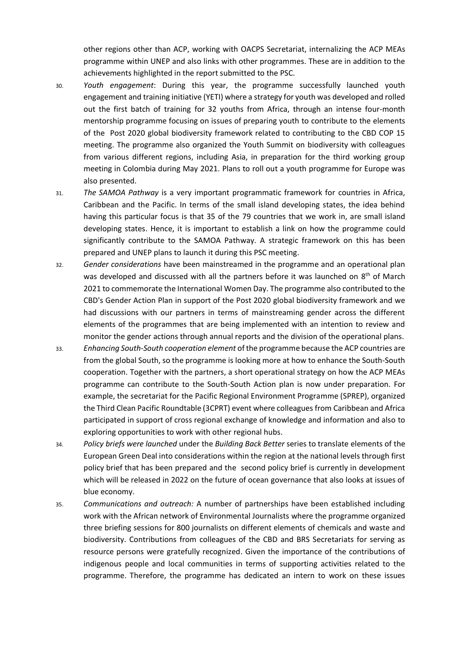other regions other than ACP, working with OACPS Secretariat, internalizing the ACP MEAs programme within UNEP and also links with other programmes. These are in addition to the achievements highlighted in the report submitted to the PSC.

- 30. *Youth engagement*: During this year, the programme successfully launched youth engagement and training initiative (YETI) where a strategy for youth was developed and rolled out the first batch of training for 32 youths from Africa, through an intense four-month mentorship programme focusing on issues of preparing youth to contribute to the elements of the Post 2020 global biodiversity framework related to contributing to the CBD COP 15 meeting. The programme also organized the Youth Summit on biodiversity with colleagues from various different regions, including Asia, in preparation for the third working group meeting in Colombia during May 2021. Plans to roll out a youth programme for Europe was also presented.
- 31. *The SAMOA Pathway* is a very important programmatic framework for countries in Africa, Caribbean and the Pacific. In terms of the small island developing states, the idea behind having this particular focus is that 35 of the 79 countries that we work in, are small island developing states. Hence, it is important to establish a link on how the programme could significantly contribute to the SAMOA Pathway. A strategic framework on this has been prepared and UNEP plans to launch it during this PSC meeting.
- 32. *Gender considerations* have been mainstreamed in the programme and an operational plan was developed and discussed with all the partners before it was launched on 8<sup>th</sup> of March 2021 to commemorate the International Women Day. The programme also contributed to the CBD's Gender Action Plan in support of the Post 2020 global biodiversity framework and we had discussions with our partners in terms of mainstreaming gender across the different elements of the programmes that are being implemented with an intention to review and monitor the gender actions through annual reports and the division of the operational plans.
- 33. *Enhancing South-South cooperation element* of the programme because the ACP countries are from the global South, so the programme is looking more at how to enhance the South-South cooperation. Together with the partners, a short operational strategy on how the ACP MEAs programme can contribute to the South-South Action plan is now under preparation. For example, the secretariat for the Pacific Regional Environment Programme (SPREP), organized the Third Clean Pacific Roundtable (3CPRT) event where colleagues from Caribbean and Africa participated in support of cross regional exchange of knowledge and information and also to exploring opportunities to work with other regional hubs.
- 34. *Policy briefs were launched* under the *Building Back Better* series to translate elements of the European Green Deal into considerations within the region at the national levels through first policy brief that has been prepared and the second policy brief is currently in development which will be released in 2022 on the future of ocean governance that also looks at issues of blue economy.
- 35. *Communications and outreach:* A number of partnerships have been established including work with the African network of Environmental Journalists where the programme organized three briefing sessions for 800 journalists on different elements of chemicals and waste and biodiversity. Contributions from colleagues of the CBD and BRS Secretariats for serving as resource persons were gratefully recognized. Given the importance of the contributions of indigenous people and local communities in terms of supporting activities related to the programme. Therefore, the programme has dedicated an intern to work on these issues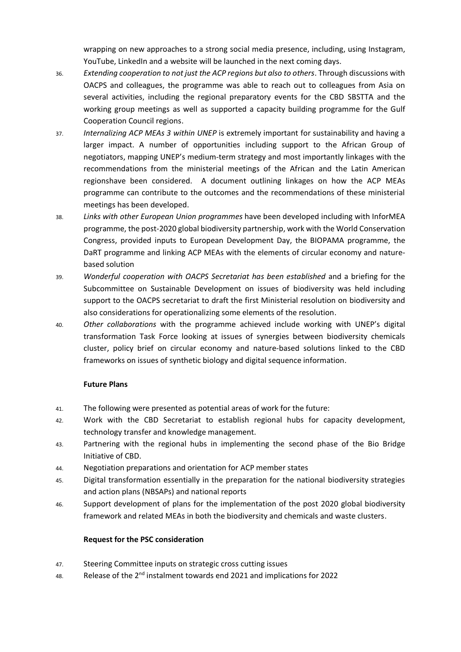wrapping on new approaches to a strong social media presence, including, using Instagram, YouTube, LinkedIn and a website will be launched in the next coming days.

- 36. *Extending cooperation to not just the ACP regions but also to others*. Through discussions with OACPS and colleagues, the programme was able to reach out to colleagues from Asia on several activities, including the regional preparatory events for the CBD SBSTTA and the working group meetings as well as supported a capacity building programme for the Gulf Cooperation Council regions.
- 37. *Internalizing ACP MEAs 3 within UNEP* is extremely important for sustainability and having a larger impact. A number of opportunities including support to the African Group of negotiators, mapping UNEP's medium-term strategy and most importantly linkages with the recommendations from the ministerial meetings of the African and the Latin American regionshave been considered. A document outlining linkages on how the ACP MEAs programme can contribute to the outcomes and the recommendations of these ministerial meetings has been developed.
- 38. *Links with other European Union programmes* have been developed including with InforMEA programme, the post-2020 global biodiversity partnership, work with the World Conservation Congress, provided inputs to European Development Day, the BIOPAMA programme, the DaRT programme and linking ACP MEAs with the elements of circular economy and naturebased solution
- 39. *Wonderful cooperation with OACPS Secretariat has been established* and a briefing for the Subcommittee on Sustainable Development on issues of biodiversity was held including support to the OACPS secretariat to draft the first Ministerial resolution on biodiversity and also considerations for operationalizing some elements of the resolution.
- 40. *Other collaborations* with the programme achieved include working with UNEP's digital transformation Task Force looking at issues of synergies between biodiversity chemicals cluster, policy brief on circular economy and nature-based solutions linked to the CBD frameworks on issues of synthetic biology and digital sequence information.

### **Future Plans**

- 41. The following were presented as potential areas of work for the future:
- 42. Work with the CBD Secretariat to establish regional hubs for capacity development, technology transfer and knowledge management.
- 43. Partnering with the regional hubs in implementing the second phase of the Bio Bridge Initiative of CBD.
- 44. Negotiation preparations and orientation for ACP member states
- 45. Digital transformation essentially in the preparation for the national biodiversity strategies and action plans (NBSAPs) and national reports
- 46. Support development of plans for the implementation of the post 2020 global biodiversity framework and related MEAs in both the biodiversity and chemicals and waste clusters.

### **Request for the PSC consideration**

- 47. Steering Committee inputs on strategic cross cutting issues
- 48. Release of the  $2^{nd}$  instalment towards end 2021 and implications for 2022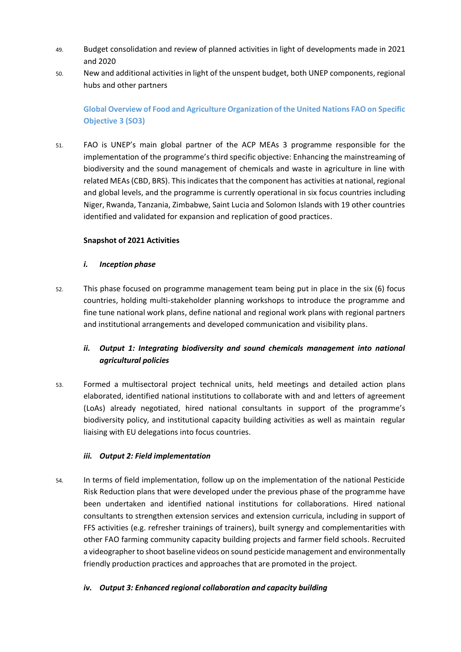- 49. Budget consolidation and review of planned activities in light of developments made in 2021 and 2020
- 50. New and additional activities in light of the unspent budget, both UNEP components, regional hubs and other partners

# **Global Overview of Food and Agriculture Organization of the United Nations FAO on Specific Objective 3 (SO3)**

51. FAO is UNEP's main global partner of the ACP MEAs 3 programme responsible for the implementation of the programme's third specific objective: Enhancing the mainstreaming of biodiversity and the sound management of chemicals and waste in agriculture in line with related MEAs (CBD, BRS). This indicates that the component has activities at national, regional and global levels, and the programme is currently operational in six focus countries including Niger, Rwanda, Tanzania, Zimbabwe, Saint Lucia and Solomon Islands with 19 other countries identified and validated for expansion and replication of good practices.

### **Snapshot of 2021 Activities**

### *i. Inception phase*

52. This phase focused on programme management team being put in place in the six (6) focus countries, holding multi-stakeholder planning workshops to introduce the programme and fine tune national work plans, define national and regional work plans with regional partners and institutional arrangements and developed communication and visibility plans.

# ii. Output 1: Integrating biodiversity and sound chemicals management into national *agricultural policies*

53. Formed a multisectoral project technical units, held meetings and detailed action plans elaborated, identified national institutions to collaborate with and and letters of agreement (LoAs) already negotiated, hired national consultants in support of the programme's biodiversity policy, and institutional capacity building activities as well as maintain regular liaising with EU delegations into focus countries.

### *iii. Output 2: Field implementation*

54. In terms of field implementation, follow up on the implementation of the national Pesticide Risk Reduction plans that were developed under the previous phase of the programme have been undertaken and identified national institutions for collaborations. Hired national consultants to strengthen extension services and extension curricula, including in support of FFS activities (e.g. refresher trainings of trainers), built synergy and complementarities with other FAO farming community capacity building projects and farmer field schools. Recruited a videographer to shoot baseline videos on sound pesticide management and environmentally friendly production practices and approaches that are promoted in the project.

# *iv. Output 3: Enhanced regional collaboration and capacity building*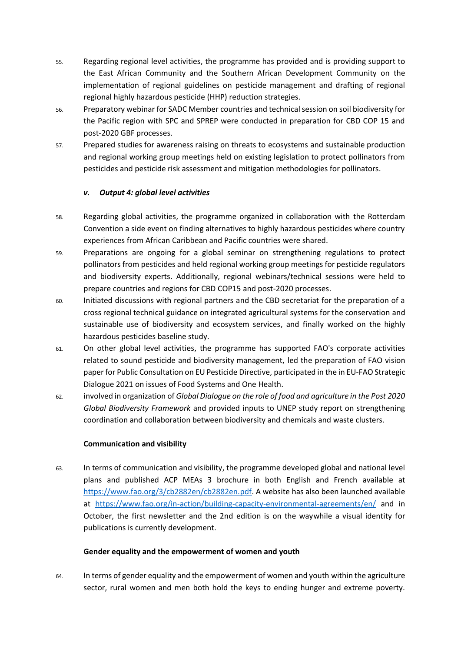- 55. Regarding regional level activities, the programme has provided and is providing support to the East African Community and the Southern African Development Community on the implementation of regional guidelines on pesticide management and drafting of regional regional highly hazardous pesticide (HHP) reduction strategies.
- 56. Preparatory webinar for SADC Member countries and technical session on soil biodiversity for the Pacific region with SPC and SPREP were conducted in preparation for CBD COP 15 and post-2020 GBF processes.
- 57. Prepared studies for awareness raising on threats to ecosystems and sustainable production and regional working group meetings held on existing legislation to protect pollinators from pesticides and pesticide risk assessment and mitigation methodologies for pollinators.

### *v. Output 4: global level activities*

- 58. Regarding global activities, the programme organized in collaboration with the Rotterdam Convention a side event on finding alternatives to highly hazardous pesticides where country experiences from African Caribbean and Pacific countries were shared.
- 59. Preparations are ongoing for a global seminar on strengthening regulations to protect pollinators from pesticides and held regional working group meetings for pesticide regulators and biodiversity experts. Additionally, regional webinars/technical sessions were held to prepare countries and regions for CBD COP15 and post-2020 processes.
- 60. Initiated discussions with regional partners and the CBD secretariat for the preparation of a cross regional technical guidance on integrated agricultural systems for the conservation and sustainable use of biodiversity and ecosystem services, and finally worked on the highly hazardous pesticides baseline study.
- 61. On other global level activities, the programme has supported FAO's corporate activities related to sound pesticide and biodiversity management, led the preparation of FAO vision paper for Public Consultation on EU Pesticide Directive, participated in the in EU-FAO Strategic Dialogue 2021 on issues of Food Systems and One Health.
- 62. involved in organization of *Global Dialogue on the role of food and agriculture in the Post 2020 Global Biodiversity Framework* and provided inputs to UNEP study report on strengthening coordination and collaboration between biodiversity and chemicals and waste clusters.

### **Communication and visibility**

63. In terms of communication and visibility, the programme developed global and national level plans and published ACP MEAs 3 brochure in both English and French available at [https://www.fao.org/3/cb2882en/cb2882en.pdf.](https://www.fao.org/3/cb2882en/cb2882en.pdf) A website has also been launched available at <https://www.fao.org/in-action/building-capacity-environmental-agreements/en/> and in October, the first newsletter and the 2nd edition is on the waywhile a visual identity for publications is currently development.

### **Gender equality and the empowerment of women and youth**

64. In terms of gender equality and the empowerment of women and youth within the agriculture sector, rural women and men both hold the keys to ending hunger and extreme poverty.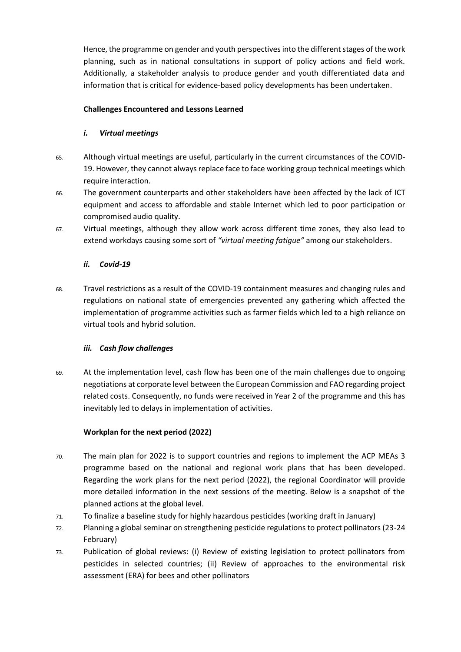Hence, the programme on gender and youth perspectives into the different stages of the work planning, such as in national consultations in support of policy actions and field work. Additionally, a stakeholder analysis to produce gender and youth differentiated data and information that is critical for evidence-based policy developments has been undertaken.

### **Challenges Encountered and Lessons Learned**

## *i. Virtual meetings*

- 65. Although virtual meetings are useful, particularly in the current circumstances of the COVID-19. However, they cannot always replace face to face working group technical meetings which require interaction.
- 66. The government counterparts and other stakeholders have been affected by the lack of ICT equipment and access to affordable and stable Internet which led to poor participation or compromised audio quality.
- 67. Virtual meetings, although they allow work across different time zones, they also lead to extend workdays causing some sort of *"virtual meeting fatigue"* among our stakeholders.

# *ii. Covid-19*

68. Travel restrictions as a result of the COVID-19 containment measures and changing rules and regulations on national state of emergencies prevented any gathering which affected the implementation of programme activities such as farmer fields which led to a high reliance on virtual tools and hybrid solution.

### *iii. Cash flow challenges*

69. At the implementation level, cash flow has been one of the main challenges due to ongoing negotiations at corporate level between the European Commission and FAO regarding project related costs. Consequently, no funds were received in Year 2 of the programme and this has inevitably led to delays in implementation of activities.

### **Workplan for the next period (2022)**

- 70. The main plan for 2022 is to support countries and regions to implement the ACP MEAs 3 programme based on the national and regional work plans that has been developed. Regarding the work plans for the next period (2022), the regional Coordinator will provide more detailed information in the next sessions of the meeting. Below is a snapshot of the planned actions at the global level.
- 71. To finalize a baseline study for highly hazardous pesticides (working draft in January)
- 72. Planning a global seminar on strengthening pesticide regulations to protect pollinators (23-24 February)
- 73. Publication of global reviews: (i) Review of existing legislation to protect pollinators from pesticides in selected countries; (ii) Review of approaches to the environmental risk assessment (ERA) for bees and other pollinators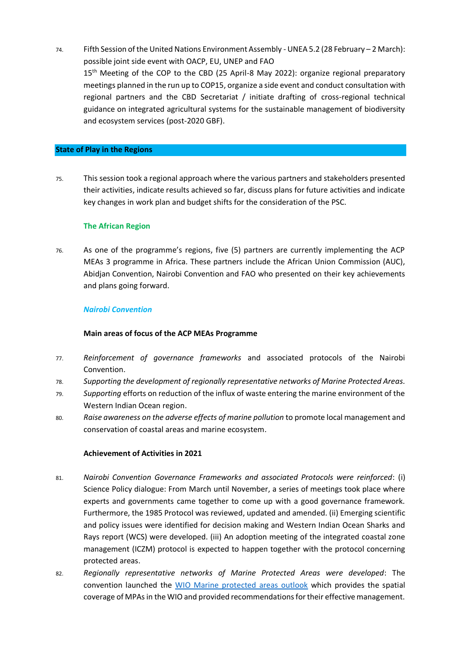74. Fifth Session of the United Nations Environment Assembly - UNEA 5.2 (28 February – 2 March): possible joint side event with OACP, EU, UNEP and FAO 15<sup>th</sup> Meeting of the COP to the CBD (25 April-8 May 2022): organize regional preparatory meetings planned in the run up to COP15, organize a side event and conduct consultation with regional partners and the CBD Secretariat / initiate drafting of cross-regional technical guidance on integrated agricultural systems for the sustainable management of biodiversity and ecosystem services (post-2020 GBF).

#### **State of Play in the Regions**

75. This session took a regional approach where the various partners and stakeholders presented their activities, indicate results achieved so far, discuss plans for future activities and indicate key changes in work plan and budget shifts for the consideration of the PSC.

### **The African Region**

76. As one of the programme's regions, five (5) partners are currently implementing the ACP MEAs 3 programme in Africa. These partners include the African Union Commission (AUC), Abidjan Convention, Nairobi Convention and FAO who presented on their key achievements and plans going forward.

### *Nairobi Convention*

### **Main areas of focus of the ACP MEAs Programme**

- 77. *Reinforcement of governance frameworks* and associated protocols of the Nairobi Convention.
- 78. *Supporting the development of regionally representative networks of Marine Protected Areas.*
- 79. *Supporting* efforts on reduction of the influx of waste entering the marine environment of the Western Indian Ocean region.
- 80. *Raise awareness on the adverse effects of marine pollution* to promote local management and conservation of coastal areas and marine ecosystem.

### **Achievement of Activities in 2021**

- 81. *Nairobi Convention Governance Frameworks and associated Protocols were reinforced*: (i) Science Policy dialogue: From March until November, a series of meetings took place where experts and governments came together to come up with a good governance framework. Furthermore, the 1985 Protocol was reviewed, updated and amended. (ii) Emerging scientific and policy issues were identified for decision making and Western Indian Ocean Sharks and Rays report (WCS) were developed. (iii) An adoption meeting of the integrated coastal zone management (ICZM) protocol is expected to happen together with the protocol concerning protected areas.
- 82. *Regionally representative networks of Marine Protected Areas were developed*: The convention launched the [WIO Marine protected areas outlook](https://www.nairobiconvention.org/nairobi-convention-projects/implementation-of-the-strategic-action-programme-for-the-protection-of-the-western-indian-ocean-from-land-based-sources-and-activities-wiosap/western-indian-ocean-marine-protected-areas-outlook/) which provides the spatial coverage of MPAs in the WIO and provided recommendations for their effective management.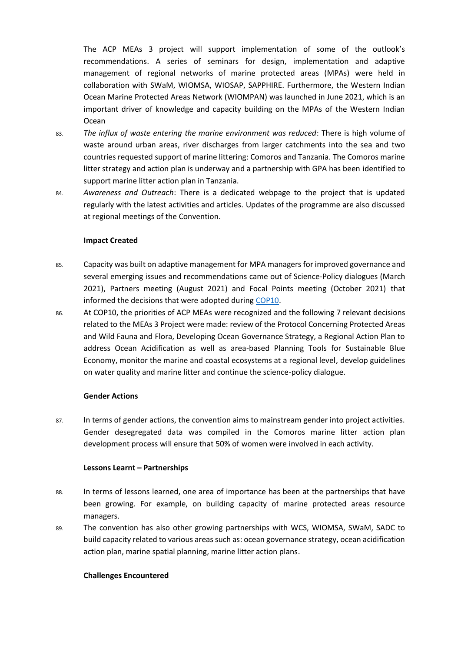The ACP MEAs 3 project will support implementation of some of the outlook's recommendations. A series of seminars for design, implementation and adaptive management of regional networks of marine protected areas (MPAs) were held in collaboration with SWaM, WIOMSA, WIOSAP, SAPPHIRE. Furthermore, the Western Indian Ocean Marine Protected Areas Network (WIOMPAN) was launched in June 2021, which is an important driver of knowledge and capacity building on the MPAs of the Western Indian Ocean

- 83. *The influx of waste entering the marine environment was reduced*: There is high volume of waste around urban areas, river discharges from larger catchments into the sea and two countries requested support of marine littering: Comoros and Tanzania. The Comoros marine litter strategy and action plan is underway and a partnership with GPA has been identified to support marine litter action plan in Tanzania.
- 84. *Awareness and Outreach*: There is a dedicated webpage to the project that is updated regularly with the latest activities and articles. Updates of the programme are also discussed at regional meetings of the Convention.

### **Impact Created**

- 85. Capacity was built on adaptive management for MPA managers for improved governance and several emerging issues and recommendations came out of Science-Policy dialogues (March 2021), Partners meeting (August 2021) and Focal Points meeting (October 2021) that informed the decisions that were adopted during [COP10.](https://www.nairobiconvention.org/nairobi-convention/who-we-are/conference-of-parties-cops/10th-conference-of-parties/)
- 86. At COP10, the priorities of ACP MEAs were recognized and the following 7 relevant decisions related to the MEAs 3 Project were made: review of the Protocol Concerning Protected Areas and Wild Fauna and Flora, Developing Ocean Governance Strategy, a Regional Action Plan to address Ocean Acidification as well as area-based Planning Tools for Sustainable Blue Economy, monitor the marine and coastal ecosystems at a regional level, develop guidelines on water quality and marine litter and continue the science-policy dialogue.

### **Gender Actions**

87. In terms of gender actions, the convention aims to mainstream gender into project activities. Gender desegregated data was compiled in the Comoros marine litter action plan development process will ensure that 50% of women were involved in each activity.

### **Lessons Learnt – Partnerships**

- 88. In terms of lessons learned, one area of importance has been at the partnerships that have been growing. For example, on building capacity of marine protected areas resource managers.
- 89. The convention has also other growing partnerships with WCS, WIOMSA, SWaM, SADC to build capacity related to various areas such as: ocean governance strategy, ocean acidification action plan, marine spatial planning, marine litter action plans.

### **Challenges Encountered**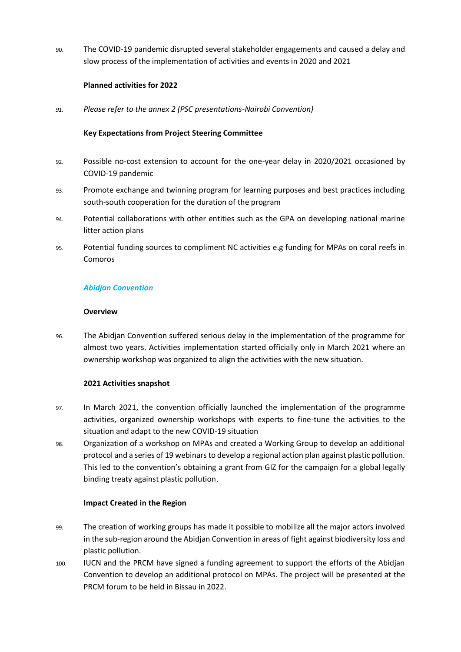90. The COVID-19 pandemic disrupted several stakeholder engagements and caused a delay and slow process of the implementation of activities and events in 2020 and 2021

### **Planned activities for 2022**

*91. Please refer to the annex 2 (PSC presentations-Nairobi Convention)*

### **Key Expectations from Project Steering Committee**

- 92. Possible no-cost extension to account for the one-year delay in 2020/2021 occasioned by COVID-19 pandemic
- 93. Promote exchange and twinning program for learning purposes and best practices including south-south cooperation for the duration of the program
- 94. Potential collaborations with other entities such as the GPA on developing national marine litter action plans
- 95. Potential funding sources to compliment NC activities e.g funding for MPAs on coral reefs in Comoros

### *Abidjan Convention*

### **Overview**

96. The Abidjan Convention suffered serious delay in the implementation of the programme for almost two years. Activities implementation started officially only in March 2021 where an ownership workshop was organized to align the activities with the new situation.

### **2021 Activities snapshot**

- 97. In March 2021, the convention officially launched the implementation of the programme activities, organized ownership workshops with experts to fine-tune the activities to the situation and adapt to the new COVID-19 situation
- 98. Organization of a workshop on MPAs and created a Working Group to develop an additional protocol and a series of 19 webinars to develop a regional action plan against plastic pollution. This led to the convention's obtaining a grant from GIZ for the campaign for a global legally binding treaty against plastic pollution.

### **Impact Created in the Region**

- 99. The creation of working groups has made it possible to mobilize all the major actors involved in the sub-region around the Abidjan Convention in areas of fight against biodiversity loss and plastic pollution.
- 100. IUCN and the PRCM have signed a funding agreement to support the efforts of the Abidjan Convention to develop an additional protocol on MPAs. The project will be presented at the PRCM forum to be held in Bissau in 2022.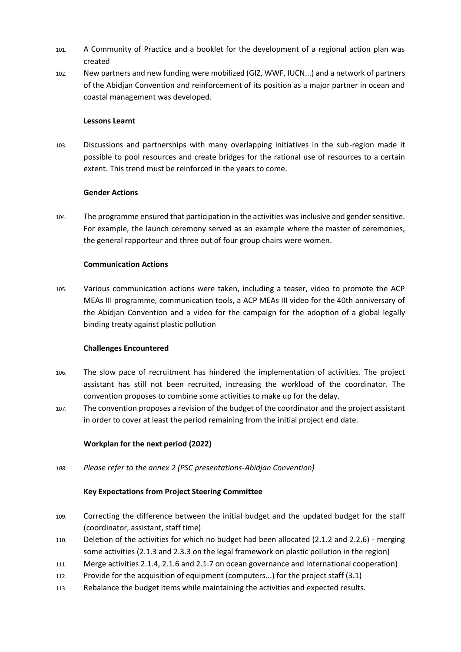- 101. A Community of Practice and a booklet for the development of a regional action plan was created
- 102. New partners and new funding were mobilized (GIZ, WWF, IUCN...) and a network of partners of the Abidjan Convention and reinforcement of its position as a major partner in ocean and coastal management was developed.

### **Lessons Learnt**

103. Discussions and partnerships with many overlapping initiatives in the sub-region made it possible to pool resources and create bridges for the rational use of resources to a certain extent. This trend must be reinforced in the years to come.

### **Gender Actions**

104. The programme ensured that participation in the activities was inclusive and gender sensitive. For example, the launch ceremony served as an example where the master of ceremonies, the general rapporteur and three out of four group chairs were women.

### **Communication Actions**

105. Various communication actions were taken, including a teaser, video to promote the ACP MEAs III programme, communication tools, a ACP MEAs III video for the 40th anniversary of the Abidjan Convention and a video for the campaign for the adoption of a global legally binding treaty against plastic pollution

### **Challenges Encountered**

- 106. The slow pace of recruitment has hindered the implementation of activities. The project assistant has still not been recruited, increasing the workload of the coordinator. The convention proposes to combine some activities to make up for the delay.
- 107. The convention proposes a revision of the budget of the coordinator and the project assistant in order to cover at least the period remaining from the initial project end date.

### **Workplan for the next period (2022)**

*108. Please refer to the annex 2 (PSC presentations-Abidjan Convention)*

### **Key Expectations from Project Steering Committee**

- 109. Correcting the difference between the initial budget and the updated budget for the staff (coordinator, assistant, staff time)
- 110. Deletion of the activities for which no budget had been allocated (2.1.2 and 2.2.6) merging some activities (2.1.3 and 2.3.3 on the legal framework on plastic pollution in the region)
- 111. Merge activities 2.1.4, 2.1.6 and 2.1.7 on ocean governance and international cooperation)
- 112. Provide for the acquisition of equipment (computers...) for the project staff (3.1)
- 113. Rebalance the budget items while maintaining the activities and expected results.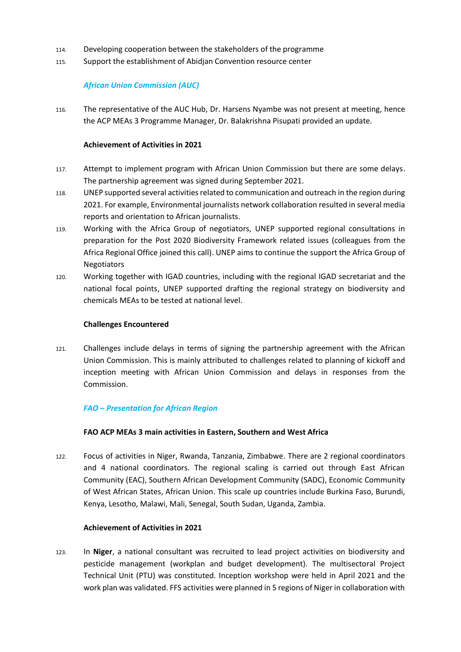- 114. Developing cooperation between the stakeholders of the programme
- 115. Support the establishment of Abidjan Convention resource center

### *African Union Commission (AUC)*

116. The representative of the AUC Hub, Dr. Harsens Nyambe was not present at meeting, hence the ACP MEAs 3 Programme Manager, Dr. Balakrishna Pisupati provided an update.

### **Achievement of Activities in 2021**

- 117. Attempt to implement program with African Union Commission but there are some delays. The partnership agreement was signed during September 2021.
- 118. UNEP supported several activities related to communication and outreach in the region during 2021. For example, Environmental journalists network collaboration resulted in several media reports and orientation to African journalists.
- 119. Working with the Africa Group of negotiators, UNEP supported regional consultations in preparation for the Post 2020 Biodiversity Framework related issues (colleagues from the Africa Regional Office joined this call). UNEP aims to continue the support the Africa Group of Negotiators
- 120. Working together with IGAD countries, including with the regional IGAD secretariat and the national focal points, UNEP supported drafting the regional strategy on biodiversity and chemicals MEAs to be tested at national level.

### **Challenges Encountered**

121. Challenges include delays in terms of signing the partnership agreement with the African Union Commission. This is mainly attributed to challenges related to planning of kickoff and inception meeting with African Union Commission and delays in responses from the Commission.

### *FAO – Presentation for African Region*

### **FAO ACP MEAs 3 main activities in Eastern, Southern and West Africa**

122. Focus of activities in Niger, Rwanda, Tanzania, Zimbabwe. There are 2 regional coordinators and 4 national coordinators. The regional scaling is carried out through East African Community (EAC), Southern African Development Community (SADC), Economic Community of West African States, African Union. This scale up countries include Burkina Faso, Burundi, Kenya, Lesotho, Malawi, Mali, Senegal, South Sudan, Uganda, Zambia.

### **Achievement of Activities in 2021**

123. In **Niger**, a national consultant was recruited to lead project activities on biodiversity and pesticide management (workplan and budget development). The multisectoral Project Technical Unit (PTU) was constituted. Inception workshop were held in April 2021 and the work plan was validated. FFS activities were planned in 5 regions of Niger in collaboration with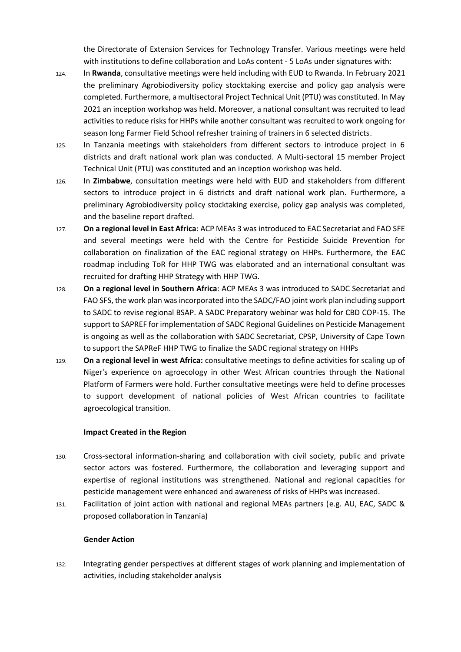the Directorate of Extension Services for Technology Transfer. Various meetings were held with institutions to define collaboration and LoAs content - 5 LoAs under signatures with:

- 124. In **Rwanda**, consultative meetings were held including with EUD to Rwanda. In February 2021 the preliminary Agrobiodiversity policy stocktaking exercise and policy gap analysis were completed. Furthermore, a multisectoral Project Technical Unit (PTU) was constituted. In May 2021 an inception workshop was held. Moreover, a national consultant was recruited to lead activities to reduce risks for HHPs while another consultant was recruited to work ongoing for season long Farmer Field School refresher training of trainers in 6 selected districts.
- 125. In Tanzania meetings with stakeholders from different sectors to introduce project in 6 districts and draft national work plan was conducted. A Multi-sectoral 15 member Project Technical Unit (PTU) was constituted and an inception workshop was held.
- 126. In **Zimbabwe**, consultation meetings were held with EUD and stakeholders from different sectors to introduce project in 6 districts and draft national work plan. Furthermore, a preliminary Agrobiodiversity policy stocktaking exercise, policy gap analysis was completed, and the baseline report drafted.
- 127. **On a regional level in East Africa**: ACP MEAs 3 was introduced to EAC Secretariat and FAO SFE and several meetings were held with the Centre for Pesticide Suicide Prevention for collaboration on finalization of the EAC regional strategy on HHPs. Furthermore, the EAC roadmap including ToR for HHP TWG was elaborated and an international consultant was recruited for drafting HHP Strategy with HHP TWG.
- 128. **On a regional level in Southern Africa**: ACP MEAs 3 was introduced to SADC Secretariat and FAO SFS, the work plan was incorporated into the SADC/FAO joint work plan including support to SADC to revise regional BSAP. A SADC Preparatory webinar was hold for CBD COP-15. The support to SAPREF for implementation of SADC Regional Guidelines on Pesticide Management is ongoing as well as the collaboration with SADC Secretariat, CPSP, University of Cape Town to support the SAPReF HHP TWG to finalize the SADC regional strategy on HHPs
- 129. **On a regional level in west Africa:** consultative meetings to define activities for scaling up of Niger's experience on agroecology in other West African countries through the National Platform of Farmers were hold. Further consultative meetings were held to define processes to support development of national policies of West African countries to facilitate agroecological transition.

### **Impact Created in the Region**

- 130. Cross-sectoral information-sharing and collaboration with civil society, public and private sector actors was fostered. Furthermore, the collaboration and leveraging support and expertise of regional institutions was strengthened. National and regional capacities for pesticide management were enhanced and awareness of risks of HHPs was increased.
- 131. Facilitation of joint action with national and regional MEAs partners (e.g. AU, EAC, SADC & proposed collaboration in Tanzania)

### **Gender Action**

132. Integrating gender perspectives at different stages of work planning and implementation of activities, including stakeholder analysis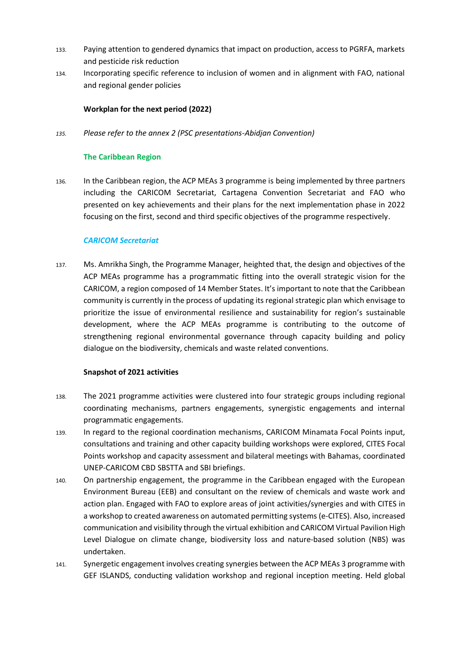- 133. Paying attention to gendered dynamics that impact on production, access to PGRFA, markets and pesticide risk reduction
- 134. Incorporating specific reference to inclusion of women and in alignment with FAO, national and regional gender policies

### **Workplan for the next period (2022)**

*135. Please refer to the annex 2 (PSC presentations-Abidjan Convention)*

### **The Caribbean Region**

136. In the Caribbean region, the ACP MEAs 3 programme is being implemented by three partners including the CARICOM Secretariat, Cartagena Convention Secretariat and FAO who presented on key achievements and their plans for the next implementation phase in 2022 focusing on the first, second and third specific objectives of the programme respectively.

### *CARICOM Secretariat*

137. Ms. Amrikha Singh, the Programme Manager, heighted that, the design and objectives of the ACP MEAs programme has a programmatic fitting into the overall strategic vision for the CARICOM, a region composed of 14 Member States. It's important to note that the Caribbean community is currently in the process of updating its regional strategic plan which envisage to prioritize the issue of environmental resilience and sustainability for region's sustainable development, where the ACP MEAs programme is contributing to the outcome of strengthening regional environmental governance through capacity building and policy dialogue on the biodiversity, chemicals and waste related conventions.

### **Snapshot of 2021 activities**

- 138. The 2021 programme activities were clustered into four strategic groups including regional coordinating mechanisms, partners engagements, synergistic engagements and internal programmatic engagements.
- 139. In regard to the regional coordination mechanisms, CARICOM Minamata Focal Points input, consultations and training and other capacity building workshops were explored, CITES Focal Points workshop and capacity assessment and bilateral meetings with Bahamas, coordinated UNEP-CARICOM CBD SBSTTA and SBI briefings.
- 140. On partnership engagement, the programme in the Caribbean engaged with the European Environment Bureau (EEB) and consultant on the review of chemicals and waste work and action plan. Engaged with FAO to explore areas of joint activities/synergies and with CITES in a workshop to created awareness on automated permitting systems (e-CITES). Also, increased communication and visibility through the virtual exhibition and CARICOM Virtual Pavilion High Level Dialogue on climate change, biodiversity loss and nature-based solution (NBS) was undertaken.
- 141. Synergetic engagement involves creating synergies between the ACP MEAs 3 programme with GEF ISLANDS, conducting validation workshop and regional inception meeting. Held global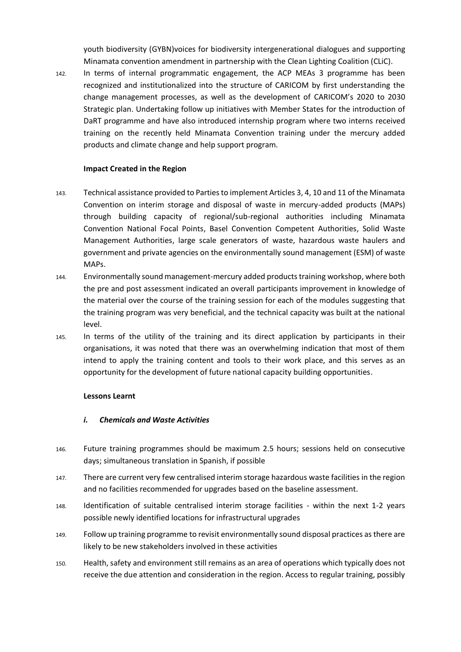youth biodiversity (GYBN)voices for biodiversity intergenerational dialogues and supporting Minamata convention amendment in partnership with the Clean Lighting Coalition (CLiC).

142. In terms of internal programmatic engagement, the ACP MEAs 3 programme has been recognized and institutionalized into the structure of CARICOM by first understanding the change management processes, as well as the development of CARICOM's 2020 to 2030 Strategic plan. Undertaking follow up initiatives with Member States for the introduction of DaRT programme and have also introduced internship program where two interns received training on the recently held Minamata Convention training under the mercury added products and climate change and help support program.

### **Impact Created in the Region**

- 143. Technical assistance provided to Parties to implement Articles 3, 4, 10 and 11 of the Minamata Convention on interim storage and disposal of waste in mercury-added products (MAPs) through building capacity of regional/sub-regional authorities including Minamata Convention National Focal Points, Basel Convention Competent Authorities, Solid Waste Management Authorities, large scale generators of waste, hazardous waste haulers and government and private agencies on the environmentally sound management (ESM) of waste MAPs.
- 144. Environmentally sound management-mercury added products training workshop, where both the pre and post assessment indicated an overall participants improvement in knowledge of the material over the course of the training session for each of the modules suggesting that the training program was very beneficial, and the technical capacity was built at the national level.
- 145. In terms of the utility of the training and its direct application by participants in their organisations, it was noted that there was an overwhelming indication that most of them intend to apply the training content and tools to their work place, and this serves as an opportunity for the development of future national capacity building opportunities.

### **Lessons Learnt**

### *i. Chemicals and Waste Activities*

- 146. Future training programmes should be maximum 2.5 hours; sessions held on consecutive days; simultaneous translation in Spanish, if possible
- 147. There are current very few centralised interim storage hazardous waste facilities in the region and no facilities recommended for upgrades based on the baseline assessment.
- 148. Identification of suitable centralised interim storage facilities within the next 1-2 years possible newly identified locations for infrastructural upgrades
- 149. Follow up training programme to revisit environmentally sound disposal practices as there are likely to be new stakeholders involved in these activities
- 150. Health, safety and environment still remains as an area of operations which typically does not receive the due attention and consideration in the region. Access to regular training, possibly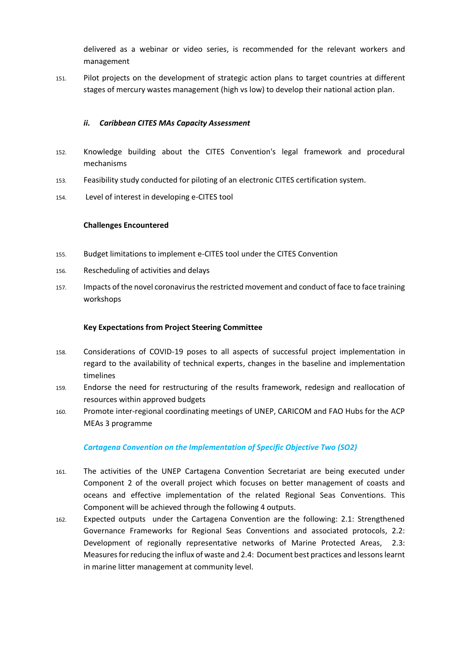delivered as a webinar or video series, is recommended for the relevant workers and management

151. Pilot projects on the development of strategic action plans to target countries at different stages of mercury wastes management (high vs low) to develop their national action plan.

### *ii. Caribbean CITES MAs Capacity Assessment*

- 152. Knowledge building about the CITES Convention's legal framework and procedural mechanisms
- 153. Feasibility study conducted for piloting of an electronic CITES certification system.
- 154. Level of interest in developing e-CITES tool

### **Challenges Encountered**

- 155. Budget limitations to implement e-CITES tool under the CITES Convention
- 156. Rescheduling of activities and delays
- 157. Impacts of the novel coronavirus the restricted movement and conduct of face to face training workshops

### **Key Expectations from Project Steering Committee**

- 158. Considerations of COVID-19 poses to all aspects of successful project implementation in regard to the availability of technical experts, changes in the baseline and implementation timelines
- 159. Endorse the need for restructuring of the results framework, redesign and reallocation of resources within approved budgets
- 160. Promote inter-regional coordinating meetings of UNEP, CARICOM and FAO Hubs for the ACP MEAs 3 programme

### *Cartagena Convention on the Implementation of Specific Objective Two (SO2)*

- 161. The activities of the UNEP Cartagena Convention Secretariat are being executed under Component 2 of the overall project which focuses on better management of coasts and oceans and effective implementation of the related Regional Seas Conventions. This Component will be achieved through the following 4 outputs.
- 162. Expected outputs under the Cartagena Convention are the following: 2.1: Strengthened Governance Frameworks for Regional Seas Conventions and associated protocols, 2.2: Development of regionally representative networks of Marine Protected Areas, 2.3: Measures for reducing the influx of waste and 2.4: Document best practices and lessons learnt in marine litter management at community level.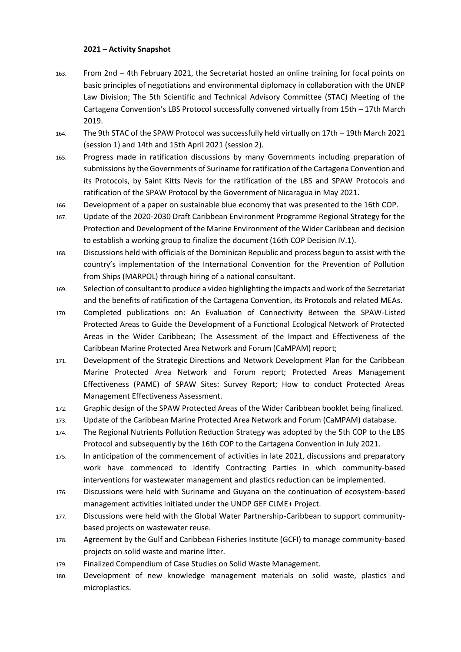### **2021 – Activity Snapshot**

- 163. From 2nd 4th February 2021, the Secretariat hosted an online training for focal points on basic principles of negotiations and environmental diplomacy in collaboration with the UNEP Law Division; The 5th Scientific and Technical Advisory Committee (STAC) Meeting of the Cartagena Convention's LBS Protocol successfully convened virtually from 15th – 17th March 2019.
- 164. The 9th STAC of the SPAW Protocol was successfully held virtually on 17th 19th March 2021 (session 1) and 14th and 15th April 2021 (session 2).
- 165. Progress made in ratification discussions by many Governments including preparation of submissions by the Governments of Suriname for ratification of the Cartagena Convention and its Protocols, by Saint Kitts Nevis for the ratification of the LBS and SPAW Protocols and ratification of the SPAW Protocol by the Government of Nicaragua in May 2021.
- 166. Development of a paper on sustainable blue economy that was presented to the 16th COP.
- 167. Update of the 2020-2030 Draft Caribbean Environment Programme Regional Strategy for the Protection and Development of the Marine Environment of the Wider Caribbean and decision to establish a working group to finalize the document (16th COP Decision IV.1).
- 168. Discussions held with officials of the Dominican Republic and process begun to assist with the country's implementation of the International Convention for the Prevention of Pollution from Ships (MARPOL) through hiring of a national consultant.
- 169. Selection of consultant to produce a video highlighting the impacts and work of the Secretariat and the benefits of ratification of the Cartagena Convention, its Protocols and related MEAs.
- 170. Completed publications on: An Evaluation of Connectivity Between the SPAW-Listed Protected Areas to Guide the Development of a Functional Ecological Network of Protected Areas in the Wider Caribbean; The Assessment of the Impact and Effectiveness of the Caribbean Marine Protected Area Network and Forum (CaMPAM) report;
- 171. Development of the Strategic Directions and Network Development Plan for the Caribbean Marine Protected Area Network and Forum report; Protected Areas Management Effectiveness (PAME) of SPAW Sites: Survey Report; How to conduct Protected Areas Management Effectiveness Assessment.
- 172. Graphic design of the SPAW Protected Areas of the Wider Caribbean booklet being finalized.
- 173. Update of the Caribbean Marine Protected Area Network and Forum (CaMPAM) database.
- 174. The Regional Nutrients Pollution Reduction Strategy was adopted by the 5th COP to the LBS Protocol and subsequently by the 16th COP to the Cartagena Convention in July 2021.
- 175. In anticipation of the commencement of activities in late 2021, discussions and preparatory work have commenced to identify Contracting Parties in which community-based interventions for wastewater management and plastics reduction can be implemented.
- 176. Discussions were held with Suriname and Guyana on the continuation of ecosystem-based management activities initiated under the UNDP GEF CLME+ Project.
- 177. Discussions were held with the Global Water Partnership-Caribbean to support communitybased projects on wastewater reuse.
- 178. Agreement by the Gulf and Caribbean Fisheries Institute (GCFI) to manage community-based projects on solid waste and marine litter.
- 179. Finalized Compendium of Case Studies on Solid Waste Management.
- 180. Development of new knowledge management materials on solid waste, plastics and microplastics.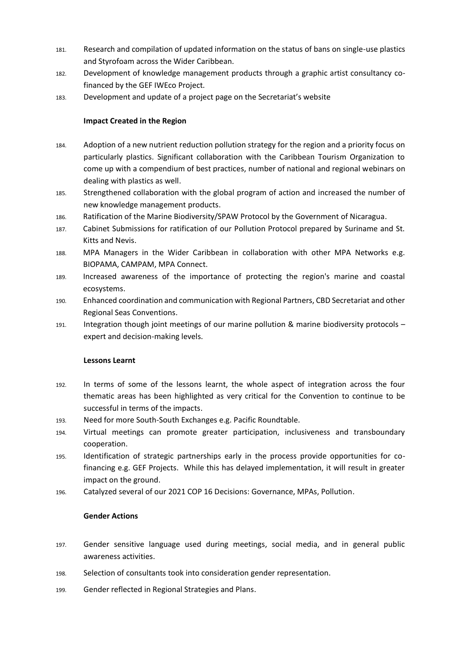- 181. Research and compilation of updated information on the status of bans on single-use plastics and Styrofoam across the Wider Caribbean.
- 182. Development of knowledge management products through a graphic artist consultancy cofinanced by the GEF IWEco Project.
- 183. Development and update of a project page on the Secretariat's website

### **Impact Created in the Region**

- 184. Adoption of a new nutrient reduction pollution strategy for the region and a priority focus on particularly plastics. Significant collaboration with the Caribbean Tourism Organization to come up with a compendium of best practices, number of national and regional webinars on dealing with plastics as well.
- 185. Strengthened collaboration with the global program of action and increased the number of new knowledge management products.
- 186. Ratification of the Marine Biodiversity/SPAW Protocol by the Government of Nicaragua.
- 187. Cabinet Submissions for ratification of our Pollution Protocol prepared by Suriname and St. Kitts and Nevis.
- 188. MPA Managers in the Wider Caribbean in collaboration with other MPA Networks e.g. BIOPAMA, CAMPAM, MPA Connect.
- 189. Increased awareness of the importance of protecting the region's marine and coastal ecosystems.
- 190. Enhanced coordination and communication with Regional Partners, CBD Secretariat and other Regional Seas Conventions.
- 191. Integration though joint meetings of our marine pollution & marine biodiversity protocols expert and decision-making levels.

### **Lessons Learnt**

- 192. In terms of some of the lessons learnt, the whole aspect of integration across the four thematic areas has been highlighted as very critical for the Convention to continue to be successful in terms of the impacts.
- 193. Need for more South-South Exchanges e.g. Pacific Roundtable.
- 194. Virtual meetings can promote greater participation, inclusiveness and transboundary cooperation.
- 195. Identification of strategic partnerships early in the process provide opportunities for cofinancing e.g. GEF Projects. While this has delayed implementation, it will result in greater impact on the ground.
- 196. Catalyzed several of our 2021 COP 16 Decisions: Governance, MPAs, Pollution.

### **Gender Actions**

- 197. Gender sensitive language used during meetings, social media, and in general public awareness activities.
- 198. Selection of consultants took into consideration gender representation.
- 199. Gender reflected in Regional Strategies and Plans.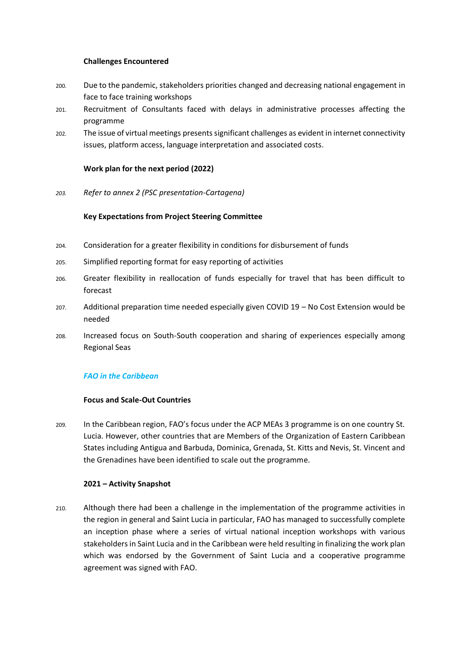### **Challenges Encountered**

- 200. Due to the pandemic, stakeholders priorities changed and decreasing national engagement in face to face training workshops
- 201. Recruitment of Consultants faced with delays in administrative processes affecting the programme
- 202. The issue of virtual meetings presents significant challenges as evident in internet connectivity issues, platform access, language interpretation and associated costs.

### **Work plan for the next period (2022)**

*203. Refer to annex 2 (PSC presentation-Cartagena)*

### **Key Expectations from Project Steering Committee**

- 204. Consideration for a greater flexibility in conditions for disbursement of funds
- 205. Simplified reporting format for easy reporting of activities
- 206. Greater flexibility in reallocation of funds especially for travel that has been difficult to forecast
- 207. Additional preparation time needed especially given COVID 19 No Cost Extension would be needed
- 208. Increased focus on South-South cooperation and sharing of experiences especially among Regional Seas

### *FAO in the Caribbean*

### **Focus and Scale-Out Countries**

209. In the Caribbean region, FAO's focus under the ACP MEAs 3 programme is on one country St. Lucia. However, other countries that are Members of the Organization of Eastern Caribbean States including Antigua and Barbuda, Dominica, Grenada, St. Kitts and Nevis, St. Vincent and the Grenadines have been identified to scale out the programme.

### **2021 – Activity Snapshot**

210. Although there had been a challenge in the implementation of the programme activities in the region in general and Saint Lucia in particular, FAO has managed to successfully complete an inception phase where a series of virtual national inception workshops with various stakeholders in Saint Lucia and in the Caribbean were held resulting in finalizing the work plan which was endorsed by the Government of Saint Lucia and a cooperative programme agreement was signed with FAO.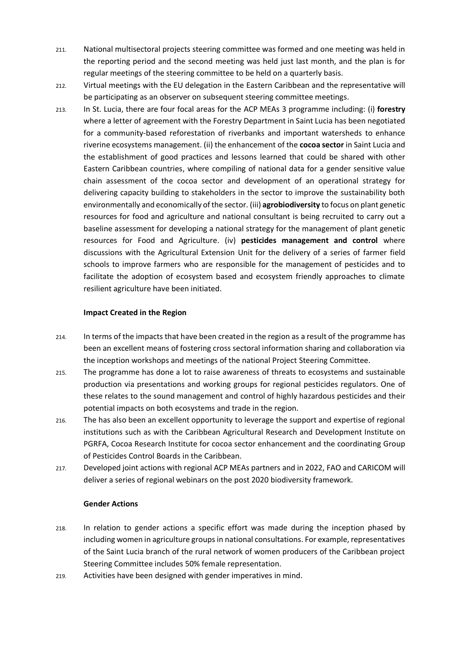- 211. National multisectoral projects steering committee was formed and one meeting was held in the reporting period and the second meeting was held just last month, and the plan is for regular meetings of the steering committee to be held on a quarterly basis.
- 212. Virtual meetings with the EU delegation in the Eastern Caribbean and the representative will be participating as an observer on subsequent steering committee meetings.
- 213. In St. Lucia, there are four focal areas for the ACP MEAs 3 programme including: (i) **forestry** where a letter of agreement with the Forestry Department in Saint Lucia has been negotiated for a community-based reforestation of riverbanks and important watersheds to enhance riverine ecosystems management. (ii) the enhancement of the **cocoa sector** in Saint Lucia and the establishment of good practices and lessons learned that could be shared with other Eastern Caribbean countries, where compiling of national data for a gender sensitive value chain assessment of the cocoa sector and development of an operational strategy for delivering capacity building to stakeholders in the sector to improve the sustainability both environmentally and economically of the sector. (iii) **agrobiodiversity** to focus on plant genetic resources for food and agriculture and national consultant is being recruited to carry out a baseline assessment for developing a national strategy for the management of plant genetic resources for Food and Agriculture. (iv) **pesticides management and control** where discussions with the Agricultural Extension Unit for the delivery of a series of farmer field schools to improve farmers who are responsible for the management of pesticides and to facilitate the adoption of ecosystem based and ecosystem friendly approaches to climate resilient agriculture have been initiated.

### **Impact Created in the Region**

- 214. In terms of the impacts that have been created in the region as a result of the programme has been an excellent means of fostering cross sectoral information sharing and collaboration via the inception workshops and meetings of the national Project Steering Committee.
- 215. The programme has done a lot to raise awareness of threats to ecosystems and sustainable production via presentations and working groups for regional pesticides regulators. One of these relates to the sound management and control of highly hazardous pesticides and their potential impacts on both ecosystems and trade in the region.
- 216. The has also been an excellent opportunity to leverage the support and expertise of regional institutions such as with the Caribbean Agricultural Research and Development Institute on PGRFA, Cocoa Research Institute for cocoa sector enhancement and the coordinating Group of Pesticides Control Boards in the Caribbean.
- 217. Developed joint actions with regional ACP MEAs partners and in 2022, FAO and CARICOM will deliver a series of regional webinars on the post 2020 biodiversity framework.

### **Gender Actions**

- 218. In relation to gender actions a specific effort was made during the inception phased by including women in agriculture groups in national consultations. For example, representatives of the Saint Lucia branch of the rural network of women producers of the Caribbean project Steering Committee includes 50% female representation.
- 219. Activities have been designed with gender imperatives in mind.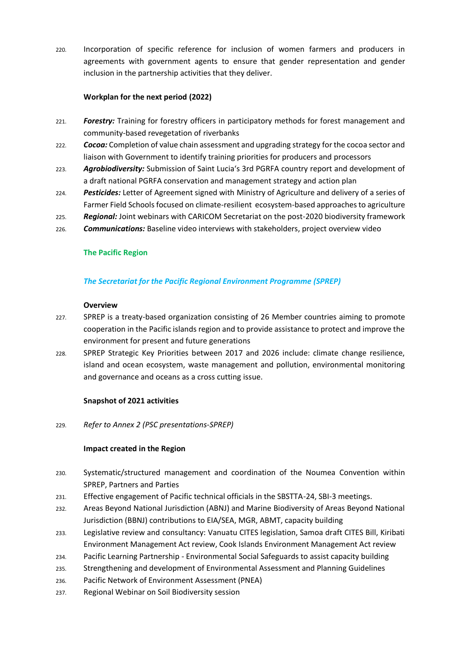220. Incorporation of specific reference for inclusion of women farmers and producers in agreements with government agents to ensure that gender representation and gender inclusion in the partnership activities that they deliver.

### **Workplan for the next period (2022)**

- 221. *Forestry:* Training for forestry officers in participatory methods for forest management and community-based revegetation of riverbanks
- 222. *Cocoa:* Completion of value chain assessment and upgrading strategy for the cocoa sector and liaison with Government to identify training priorities for producers and processors
- 223. *Agrobiodiversity:* Submission of Saint Lucia's 3rd PGRFA country report and development of a draft national PGRFA conservation and management strategy and action plan
- 224. *Pesticides:* Letter of Agreement signed with Ministry of Agriculture and delivery of a series of Farmer Field Schools focused on climate-resilient ecosystem-based approaches to agriculture
- 225. *Regional:* Joint webinars with CARICOM Secretariat on the post-2020 biodiversity framework
- 226. *Communications:* Baseline video interviews with stakeholders, project overview video

### **The Pacific Region**

### *The Secretariat for the Pacific Regional Environment Programme (SPREP)*

#### **Overview**

- 227. SPREP is a treaty-based organization consisting of 26 Member countries aiming to promote cooperation in the Pacific islands region and to provide assistance to protect and improve the environment for present and future generations
- 228. SPREP Strategic Key Priorities between 2017 and 2026 include: climate change resilience, island and ocean ecosystem, waste management and pollution, environmental monitoring and governance and oceans as a cross cutting issue.

### **Snapshot of 2021 activities**

229. *Refer to Annex 2 (PSC presentations-SPREP)*

### **Impact created in the Region**

- 230. Systematic/structured management and coordination of the Noumea Convention within SPREP, Partners and Parties
- 231. Effective engagement of Pacific technical officials in the SBSTTA-24, SBI-3 meetings.
- 232. Areas Beyond National Jurisdiction (ABNJ) and Marine Biodiversity of Areas Beyond National Jurisdiction (BBNJ) contributions to EIA/SEA, MGR, ABMT, capacity building
- 233. Legislative review and consultancy: Vanuatu CITES legislation, Samoa draft CITES Bill, Kiribati Environment Management Act review, Cook Islands Environment Management Act review
- 234. Pacific Learning Partnership Environmental Social Safeguards to assist capacity building
- 235. Strengthening and development of Environmental Assessment and Planning Guidelines
- 236. Pacific Network of Environment Assessment (PNEA)
- 237. Regional Webinar on Soil Biodiversity session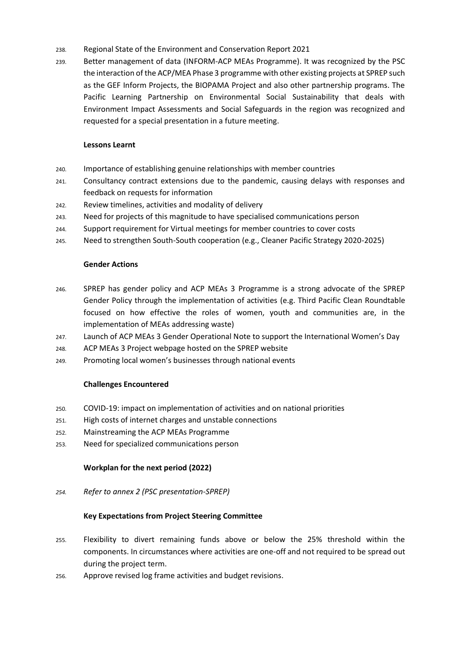- 238. Regional State of the Environment and Conservation Report 2021
- 239. Better management of data (INFORM-ACP MEAs Programme). It was recognized by the PSC the interaction of the ACP/MEA Phase 3 programme with other existing projects at SPREP such as the GEF Inform Projects, the BIOPAMA Project and also other partnership programs. The Pacific Learning Partnership on Environmental Social Sustainability that deals with Environment Impact Assessments and Social Safeguards in the region was recognized and requested for a special presentation in a future meeting.

### **Lessons Learnt**

- 240. Importance of establishing genuine relationships with member countries
- 241. Consultancy contract extensions due to the pandemic, causing delays with responses and feedback on requests for information
- 242. Review timelines, activities and modality of delivery
- 243. Need for projects of this magnitude to have specialised communications person
- 244. Support requirement for Virtual meetings for member countries to cover costs
- 245. Need to strengthen South-South cooperation (e.g., Cleaner Pacific Strategy 2020-2025)

### **Gender Actions**

- 246. SPREP has gender policy and ACP MEAs 3 Programme is a strong advocate of the SPREP Gender Policy through the implementation of activities (e.g. Third Pacific Clean Roundtable focused on how effective the roles of women, youth and communities are, in the implementation of MEAs addressing waste)
- 247. Launch of ACP MEAs 3 Gender Operational Note to support the International Women's Day
- 248. ACP MEAs 3 Project webpage hosted on the SPREP website
- 249. Promoting local women's businesses through national events

### **Challenges Encountered**

- 250. COVID-19: impact on implementation of activities and on national priorities
- 251. High costs of internet charges and unstable connections
- 252. Mainstreaming the ACP MEAs Programme
- 253. Need for specialized communications person

### **Workplan for the next period (2022)**

*254. Refer to annex 2 (PSC presentation-SPREP)*

### **Key Expectations from Project Steering Committee**

- 255. Flexibility to divert remaining funds above or below the 25% threshold within the components. In circumstances where activities are one-off and not required to be spread out during the project term.
- 256. Approve revised log frame activities and budget revisions.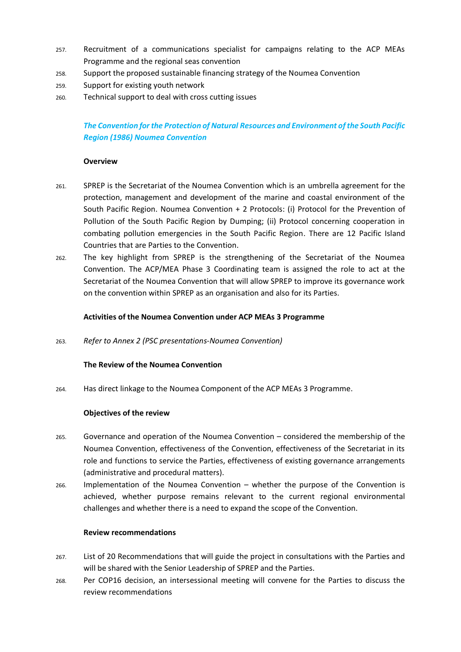- 257. Recruitment of a communications specialist for campaigns relating to the ACP MEAs Programme and the regional seas convention
- 258. Support the proposed sustainable financing strategy of the Noumea Convention
- 259. Support for existing youth network
- 260. Technical support to deal with cross cutting issues

# *The Convention for the Protection of Natural Resources and Environment of the South Pacific Region (1986) Noumea Convention*

### **Overview**

- 261. SPREP is the Secretariat of the Noumea Convention which is an umbrella agreement for the protection, management and development of the marine and coastal environment of the South Pacific Region. Noumea Convention + 2 Protocols: (i) Protocol for the Prevention of Pollution of the South Pacific Region by Dumping; (ii) Protocol concerning cooperation in combating pollution emergencies in the South Pacific Region. There are 12 Pacific Island Countries that are Parties to the Convention.
- 262. The key highlight from SPREP is the strengthening of the Secretariat of the Noumea Convention. The ACP/MEA Phase 3 Coordinating team is assigned the role to act at the Secretariat of the Noumea Convention that will allow SPREP to improve its governance work on the convention within SPREP as an organisation and also for its Parties.

### **Activities of the Noumea Convention under ACP MEAs 3 Programme**

263. *Refer to Annex 2 (PSC presentations-Noumea Convention)*

### **The Review of the Noumea Convention**

264. Has direct linkage to the Noumea Component of the ACP MEAs 3 Programme.

### **Objectives of the review**

- 265. Governance and operation of the Noumea Convention considered the membership of the Noumea Convention, effectiveness of the Convention, effectiveness of the Secretariat in its role and functions to service the Parties, effectiveness of existing governance arrangements (administrative and procedural matters).
- 266. Implementation of the Noumea Convention whether the purpose of the Convention is achieved, whether purpose remains relevant to the current regional environmental challenges and whether there is a need to expand the scope of the Convention.

### **Review recommendations**

- 267. List of 20 Recommendations that will guide the project in consultations with the Parties and will be shared with the Senior Leadership of SPREP and the Parties.
- 268. Per COP16 decision, an intersessional meeting will convene for the Parties to discuss the review recommendations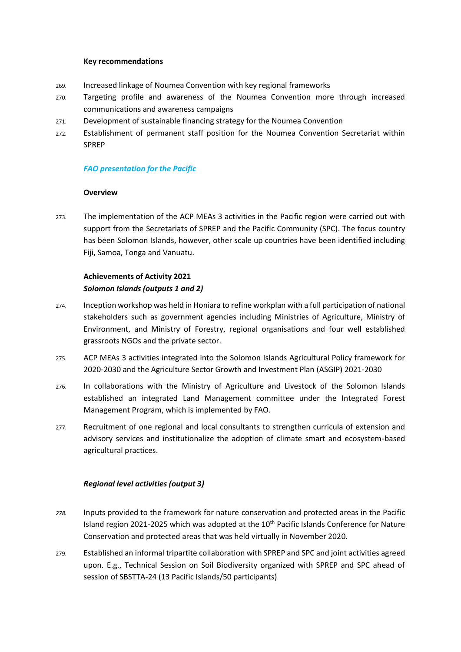#### **Key recommendations**

- 269. Increased linkage of Noumea Convention with key regional frameworks
- 270. Targeting profile and awareness of the Noumea Convention more through increased communications and awareness campaigns
- 271. Development of sustainable financing strategy for the Noumea Convention
- 272. Establishment of permanent staff position for the Noumea Convention Secretariat within SPREP

### *FAO presentation for the Pacific*

### **Overview**

273. The implementation of the ACP MEAs 3 activities in the Pacific region were carried out with support from the Secretariats of SPREP and the Pacific Community (SPC). The focus country has been Solomon Islands, however, other scale up countries have been identified including Fiji, Samoa, Tonga and Vanuatu.

# **Achievements of Activity 2021** *Solomon Islands (outputs 1 and 2)*

- 274. Inception workshop was held in Honiara to refine workplan with a full participation of national stakeholders such as government agencies including Ministries of Agriculture, Ministry of Environment, and Ministry of Forestry, regional organisations and four well established grassroots NGOs and the private sector.
- 275. ACP MEAs 3 activities integrated into the Solomon Islands Agricultural Policy framework for 2020-2030 and the Agriculture Sector Growth and Investment Plan (ASGIP) 2021-2030
- 276. In collaborations with the Ministry of Agriculture and Livestock of the Solomon Islands established an integrated Land Management committee under the Integrated Forest Management Program, which is implemented by FAO.
- 277. Recruitment of one regional and local consultants to strengthen curricula of extension and advisory services and institutionalize the adoption of climate smart and ecosystem-based agricultural practices.

### *Regional level activities (output 3)*

- *278.* Inputs provided to the framework for nature conservation and protected areas in the Pacific Island region 2021-2025 which was adopted at the 10<sup>th</sup> Pacific Islands Conference for Nature Conservation and protected areas that was held virtually in November 2020.
- 279. Established an informal tripartite collaboration with SPREP and SPC and joint activities agreed upon. E.g., Technical Session on Soil Biodiversity organized with SPREP and SPC ahead of session of SBSTTA-24 (13 Pacific Islands/50 participants)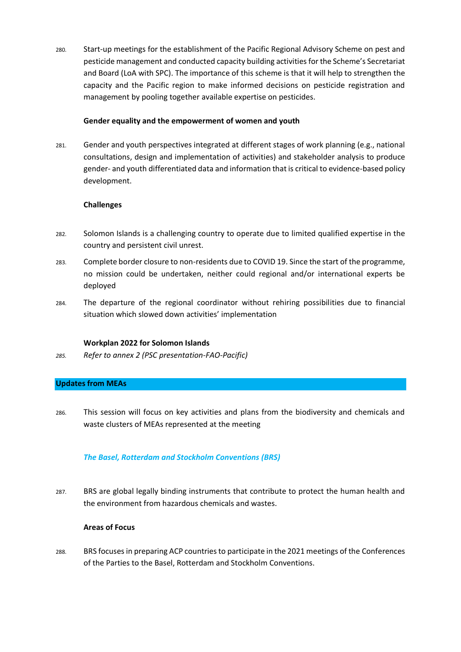280. Start-up meetings for the establishment of the Pacific Regional Advisory Scheme on pest and pesticide management and conducted capacity building activities for the Scheme's Secretariat and Board (LoA with SPC). The importance of this scheme is that it will help to strengthen the capacity and the Pacific region to make informed decisions on pesticide registration and management by pooling together available expertise on pesticides.

### **Gender equality and the empowerment of women and youth**

281. Gender and youth perspectives integrated at different stages of work planning (e.g., national consultations, design and implementation of activities) and stakeholder analysis to produce gender- and youth differentiated data and information that is critical to evidence-based policy development.

### **Challenges**

- 282. Solomon Islands is a challenging country to operate due to limited qualified expertise in the country and persistent civil unrest.
- 283. Complete border closure to non-residents due to COVID 19. Since the start of the programme, no mission could be undertaken, neither could regional and/or international experts be deployed
- 284. The departure of the regional coordinator without rehiring possibilities due to financial situation which slowed down activities' implementation

### **Workplan 2022 for Solomon Islands**

*285. Refer to annex 2 (PSC presentation-FAO-Pacific)*

### **Updates from MEAs**

286. This session will focus on key activities and plans from the biodiversity and chemicals and waste clusters of MEAs represented at the meeting

### *The Basel, Rotterdam and Stockholm Conventions (BRS)*

287. BRS are global legally binding instruments that contribute to protect the human health and the environment from hazardous chemicals and wastes.

### **Areas of Focus**

288. BRS focuses in preparing ACP countries to participate in the 2021 meetings of the Conferences of the Parties to the Basel, Rotterdam and Stockholm Conventions.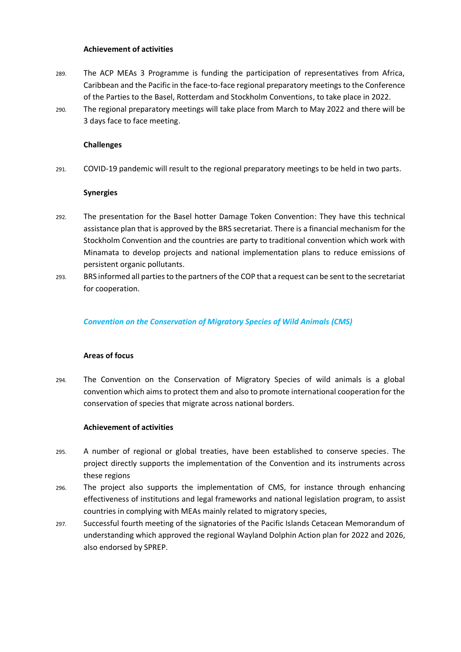### **Achievement of activities**

- 289. The ACP MEAs 3 Programme is funding the participation of representatives from Africa, Caribbean and the Pacific in the face-to-face regional preparatory meetings to the Conference of the Parties to the Basel, Rotterdam and Stockholm Conventions, to take place in 2022.
- 290. The regional preparatory meetings will take place from March to May 2022 and there will be 3 days face to face meeting.

### **Challenges**

291. COVID-19 pandemic will result to the regional preparatory meetings to be held in two parts.

### **Synergies**

- 292. The presentation for the Basel hotter Damage Token Convention: They have this technical assistance plan that is approved by the BRS secretariat. There is a financial mechanism for the Stockholm Convention and the countries are party to traditional convention which work with Minamata to develop projects and national implementation plans to reduce emissions of persistent organic pollutants.
- 293. BRS informed all parties to the partners of the COP that a request can be sent to the secretariat for cooperation.

### *Convention on the Conservation of Migratory Species of Wild Animals (CMS)*

### **Areas of focus**

294. The Convention on the Conservation of Migratory Species of wild animals is a global convention which aims to protect them and also to promote international cooperation for the conservation of species that migrate across national borders.

### **Achievement of activities**

- 295. A number of regional or global treaties, have been established to conserve species. The project directly supports the implementation of the Convention and its instruments across these regions
- 296. The project also supports the implementation of CMS, for instance through enhancing effectiveness of institutions and legal frameworks and national legislation program, to assist countries in complying with MEAs mainly related to migratory species,
- 297. Successful fourth meeting of the signatories of the Pacific Islands Cetacean Memorandum of understanding which approved the regional Wayland Dolphin Action plan for 2022 and 2026, also endorsed by SPREP.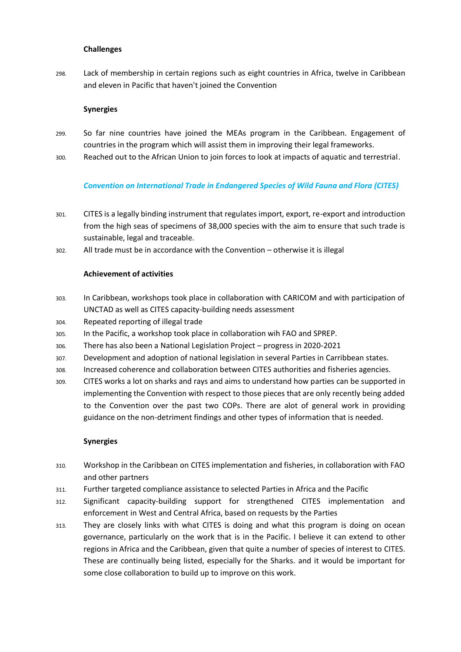### **Challenges**

298. Lack of membership in certain regions such as eight countries in Africa, twelve in Caribbean and eleven in Pacific that haven't joined the Convention

### **Synergies**

- 299. So far nine countries have joined the MEAs program in the Caribbean. Engagement of countries in the program which will assist them in improving their legal frameworks.
- 300. Reached out to the African Union to join forces to look at impacts of aquatic and terrestrial.

### *Convention on International Trade in Endangered Species of Wild Fauna and Flora (CITES)*

- 301. CITES is a legally binding instrument that regulates import, export, re-export and introduction from the high seas of specimens of 38,000 species with the aim to ensure that such trade is sustainable, legal and traceable.
- 302. All trade must be in accordance with the Convention otherwise it is illegal

### **Achievement of activities**

- 303. In Caribbean, workshops took place in collaboration with CARICOM and with participation of UNCTAD as well as CITES capacity-building needs assessment
- 304. Repeated reporting of illegal trade
- 305. In the Pacific, a workshop took place in collaboration wih FAO and SPREP.
- 306. There has also been a National Legislation Project progress in 2020-2021
- 307. Development and adoption of national legislation in several Parties in Carribbean states.
- 308. Increased coherence and collaboration between CITES authorities and fisheries agencies.
- 309. CITES works a lot on sharks and rays and aims to understand how parties can be supported in implementing the Convention with respect to those pieces that are only recently being added to the Convention over the past two COPs. There are alot of general work in providing guidance on the non-detriment findings and other types of information that is needed.

### **Synergies**

- 310. Workshop in the Caribbean on CITES implementation and fisheries, in collaboration with FAO and other partners
- 311. Further targeted compliance assistance to selected Parties in Africa and the Pacific
- 312. Significant capacity-building support for strengthened CITES implementation and enforcement in West and Central Africa, based on requests by the Parties
- 313. They are closely links with what CITES is doing and what this program is doing on ocean governance, particularly on the work that is in the Pacific. I believe it can extend to other regions in Africa and the Caribbean, given that quite a number of species of interest to CITES. These are continually being listed, especially for the Sharks. and it would be important for some close collaboration to build up to improve on this work.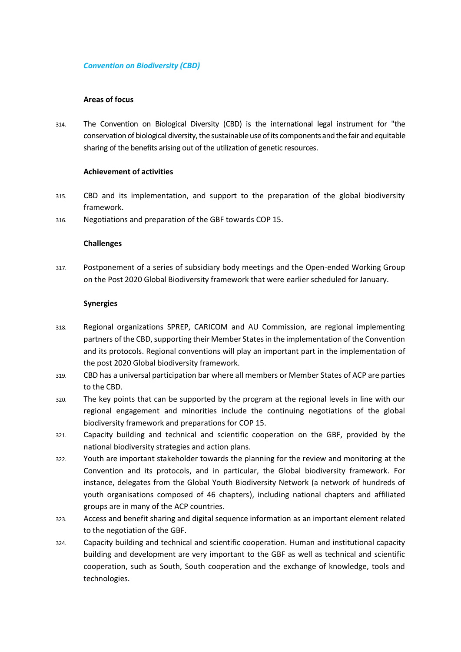### *Convention on Biodiversity (CBD)*

### **Areas of focus**

314. The Convention on Biological Diversity (CBD) is the international legal instrument for "the conservation of biological diversity, the sustainable use of its components and the fair and equitable sharing of the benefits arising out of the utilization of genetic resources.

### **Achievement of activities**

- 315. CBD and its implementation, and support to the preparation of the global biodiversity framework.
- 316. Negotiations and preparation of the GBF towards COP 15.

### **Challenges**

317. Postponement of a series of subsidiary body meetings and the Open-ended Working Group on the Post 2020 Global Biodiversity framework that were earlier scheduled for January.

### **Synergies**

- 318. Regional organizations SPREP, CARICOM and AU Commission, are regional implementing partners of the CBD, supporting their Member States in the implementation of the Convention and its protocols. Regional conventions will play an important part in the implementation of the post 2020 Global biodiversity framework.
- 319. CBD has a universal participation bar where all members or Member States of ACP are parties to the CBD.
- 320. The key points that can be supported by the program at the regional levels in line with our regional engagement and minorities include the continuing negotiations of the global biodiversity framework and preparations for COP 15.
- 321. Capacity building and technical and scientific cooperation on the GBF, provided by the national biodiversity strategies and action plans.
- 322. Youth are important stakeholder towards the planning for the review and monitoring at the Convention and its protocols, and in particular, the Global biodiversity framework. For instance, delegates from the Global Youth Biodiversity Network (a network of hundreds of youth organisations composed of 46 chapters), including national chapters and affiliated groups are in many of the ACP countries.
- 323. Access and benefit sharing and digital sequence information as an important element related to the negotiation of the GBF.
- 324. Capacity building and technical and scientific cooperation. Human and institutional capacity building and development are very important to the GBF as well as technical and scientific cooperation, such as South, South cooperation and the exchange of knowledge, tools and technologies.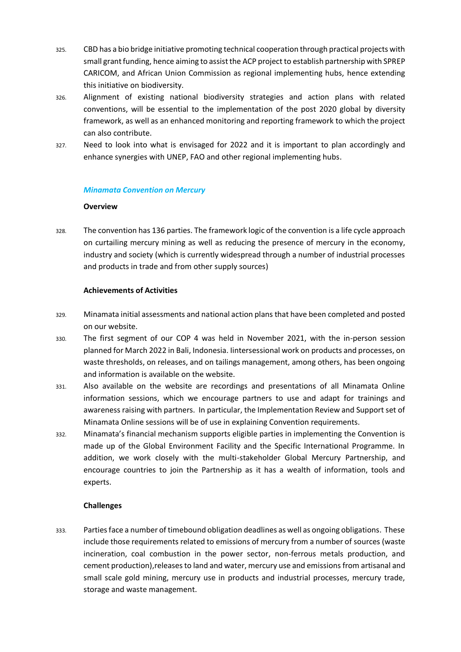- 325. CBD has a bio bridge initiative promoting technical cooperation through practical projects with small grant funding, hence aiming to assist the ACP project to establish partnership with SPREP CARICOM, and African Union Commission as regional implementing hubs, hence extending this initiative on biodiversity.
- 326. Alignment of existing national biodiversity strategies and action plans with related conventions, will be essential to the implementation of the post 2020 global by diversity framework, as well as an enhanced monitoring and reporting framework to which the project can also contribute.
- 327. Need to look into what is envisaged for 2022 and it is important to plan accordingly and enhance synergies with UNEP, FAO and other regional implementing hubs.

#### *Minamata Convention on Mercury*

#### **Overview**

328. The convention has 136 parties. The framework logic of the convention is a life cycle approach on curtailing mercury mining as well as reducing the presence of mercury in the economy, industry and society (which is currently widespread through a number of industrial processes and products in trade and from other supply sources)

#### **Achievements of Activities**

- 329. Minamata initial assessments and national action plans that have been completed and posted on our website.
- 330. The first segment of our COP 4 was held in November 2021, with the in-person session planned for March 2022 in Bali, Indonesia. Iintersessional work on products and processes, on waste thresholds, on releases, and on tailings management, among others, has been ongoing and information is available on the website.
- 331. Also available on the website are recordings and presentations of all Minamata Online information sessions, which we encourage partners to use and adapt for trainings and awareness raising with partners. In particular, the Implementation Review and Support set of Minamata Online sessions will be of use in explaining Convention requirements.
- 332. Minamata's financial mechanism supports eligible parties in implementing the Convention is made up of the Global Environment Facility and the Specific International Programme. In addition, we work closely with the multi-stakeholder Global Mercury Partnership, and encourage countries to join the Partnership as it has a wealth of information, tools and experts.

### **Challenges**

333. Parties face a number of timebound obligation deadlines as well as ongoing obligations. These include those requirements related to emissions of mercury from a number of sources (waste incineration, coal combustion in the power sector, non-ferrous metals production, and cement production),releasesto land and water, mercury use and emissions from artisanal and small scale gold mining, mercury use in products and industrial processes, mercury trade, storage and waste management.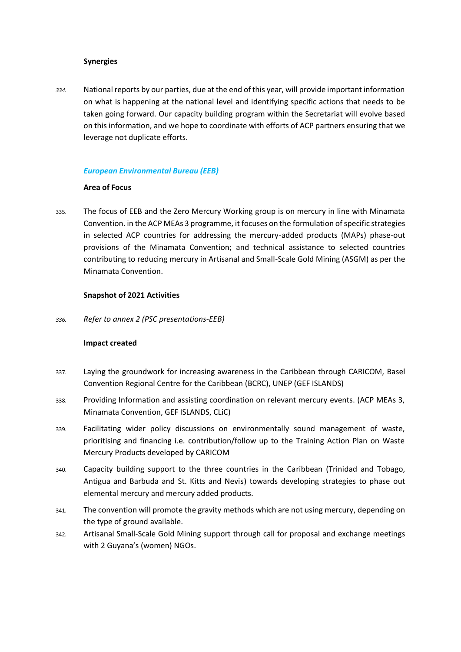#### **Synergies**

*334.* National reports by our parties, due at the end of this year, will provide important information on what is happening at the national level and identifying specific actions that needs to be taken going forward. Our capacity building program within the Secretariat will evolve based on this information, and we hope to coordinate with efforts of ACP partners ensuring that we leverage not duplicate efforts.

### *European Environmental Bureau (EEB)*

### **Area of Focus**

335. The focus of EEB and the Zero Mercury Working group is on mercury in line with Minamata Convention. in the ACP MEAs 3 programme, it focuses on the formulation of specific strategies in selected ACP countries for addressing the mercury-added products (MAPs) phase-out provisions of the Minamata Convention; and technical assistance to selected countries contributing to reducing mercury in Artisanal and Small-Scale Gold Mining (ASGM) as per the Minamata Convention.

### **Snapshot of 2021 Activities**

*336. Refer to annex 2 (PSC presentations-EEB)*

### **Impact created**

- 337. Laying the groundwork for increasing awareness in the Caribbean through CARICOM, Basel Convention Regional Centre for the Caribbean (BCRC), UNEP (GEF ISLANDS)
- 338. Providing Information and assisting coordination on relevant mercury events. (ACP MEAs 3, Minamata Convention, GEF ISLANDS, CLiC)
- 339. Facilitating wider policy discussions on environmentally sound management of waste, prioritising and financing i.e. contribution/follow up to the Training Action Plan on Waste Mercury Products developed by CARICOM
- 340. Capacity building support to the three countries in the Caribbean (Trinidad and Tobago, Antigua and Barbuda and St. Kitts and Nevis) towards developing strategies to phase out elemental mercury and mercury added products.
- 341. The convention will promote the gravity methods which are not using mercury, depending on the type of ground available.
- 342. Artisanal Small-Scale Gold Mining support through call for proposal and exchange meetings with 2 Guyana's (women) NGOs.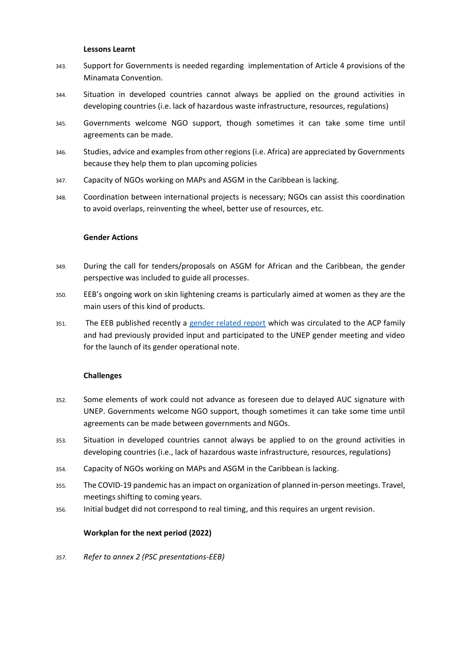#### **Lessons Learnt**

- 343. Support for Governments is needed regarding implementation of Article 4 provisions of the Minamata Convention.
- 344. Situation in developed countries cannot always be applied on the ground activities in developing countries (i.e. lack of hazardous waste infrastructure, resources, regulations)
- 345. Governments welcome NGO support, though sometimes it can take some time until agreements can be made.
- 346. Studies, advice and examples from other regions (i.e. Africa) are appreciated by Governments because they help them to plan upcoming policies
- 347. Capacity of NGOs working on MAPs and ASGM in the Caribbean is lacking.
- 348. Coordination between international projects is necessary; NGOs can assist this coordination to avoid overlaps, reinventing the wheel, better use of resources, etc.

#### **Gender Actions**

- 349. During the call for tenders/proposals on ASGM for African and the Caribbean, the gender perspective was included to guide all processes.
- 350. EEB's ongoing work on skin lightening creams is particularly aimed at women as they are the main users of this kind of products.
- 351. The EEB published recently a [gender related report](https://eeb.org/report-launch-a-gender-transformative-european-green-deal-how-to-deliver-policies-for-people-and-planet-16-july-webinar/) which was circulated to the ACP family and had previously provided input and participated to the UNEP gender meeting and video for the launch of its gender operational note.

### **Challenges**

- 352. Some elements of work could not advance as foreseen due to delayed AUC signature with UNEP. Governments welcome NGO support, though sometimes it can take some time until agreements can be made between governments and NGOs.
- 353. Situation in developed countries cannot always be applied to on the ground activities in developing countries (i.e., lack of hazardous waste infrastructure, resources, regulations)
- 354. Capacity of NGOs working on MAPs and ASGM in the Caribbean is lacking.
- 355. The COVID-19 pandemic has an impact on organization of planned in-person meetings. Travel, meetings shifting to coming years.
- 356. Initial budget did not correspond to real timing, and this requires an urgent revision.

### **Workplan for the next period (2022)**

*357. Refer to annex 2 (PSC presentations-EEB)*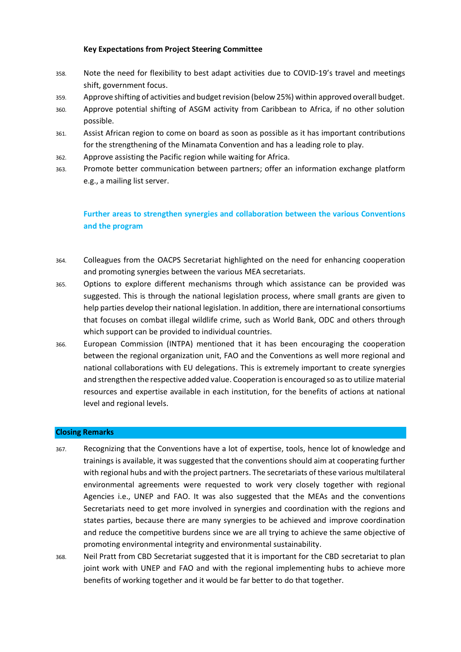### **Key Expectations from Project Steering Committee**

- 358. Note the need for flexibility to best adapt activities due to COVID-19's travel and meetings shift, government focus.
- 359. Approve shifting of activities and budget revision (below 25%) within approved overall budget.
- 360. Approve potential shifting of ASGM activity from Caribbean to Africa, if no other solution possible.
- 361. Assist African region to come on board as soon as possible as it has important contributions for the strengthening of the Minamata Convention and has a leading role to play.
- 362. Approve assisting the Pacific region while waiting for Africa.
- 363. Promote better communication between partners; offer an information exchange platform e.g., a mailing list server.

# **Further areas to strengthen synergies and collaboration between the various Conventions and the program**

- 364. Colleagues from the OACPS Secretariat highlighted on the need for enhancing cooperation and promoting synergies between the various MEA secretariats.
- 365. Options to explore different mechanisms through which assistance can be provided was suggested. This is through the national legislation process, where small grants are given to help parties develop their national legislation. In addition, there are international consortiums that focuses on combat illegal wildlife crime, such as World Bank, ODC and others through which support can be provided to individual countries.
- 366. European Commission (INTPA) mentioned that it has been encouraging the cooperation between the regional organization unit, FAO and the Conventions as well more regional and national collaborations with EU delegations. This is extremely important to create synergies and strengthen the respective added value. Cooperation is encouraged so as to utilize material resources and expertise available in each institution, for the benefits of actions at national level and regional levels.

### **Closing Remarks**

- 367. Recognizing that the Conventions have a lot of expertise, tools, hence lot of knowledge and trainings is available, it was suggested that the conventions should aim at cooperating further with regional hubs and with the project partners. The secretariats of these various multilateral environmental agreements were requested to work very closely together with regional Agencies i.e., UNEP and FAO. It was also suggested that the MEAs and the conventions Secretariats need to get more involved in synergies and coordination with the regions and states parties, because there are many synergies to be achieved and improve coordination and reduce the competitive burdens since we are all trying to achieve the same objective of promoting environmental integrity and environmental sustainability.
- 368. Neil Pratt from CBD Secretariat suggested that it is important for the CBD secretariat to plan joint work with UNEP and FAO and with the regional implementing hubs to achieve more benefits of working together and it would be far better to do that together.